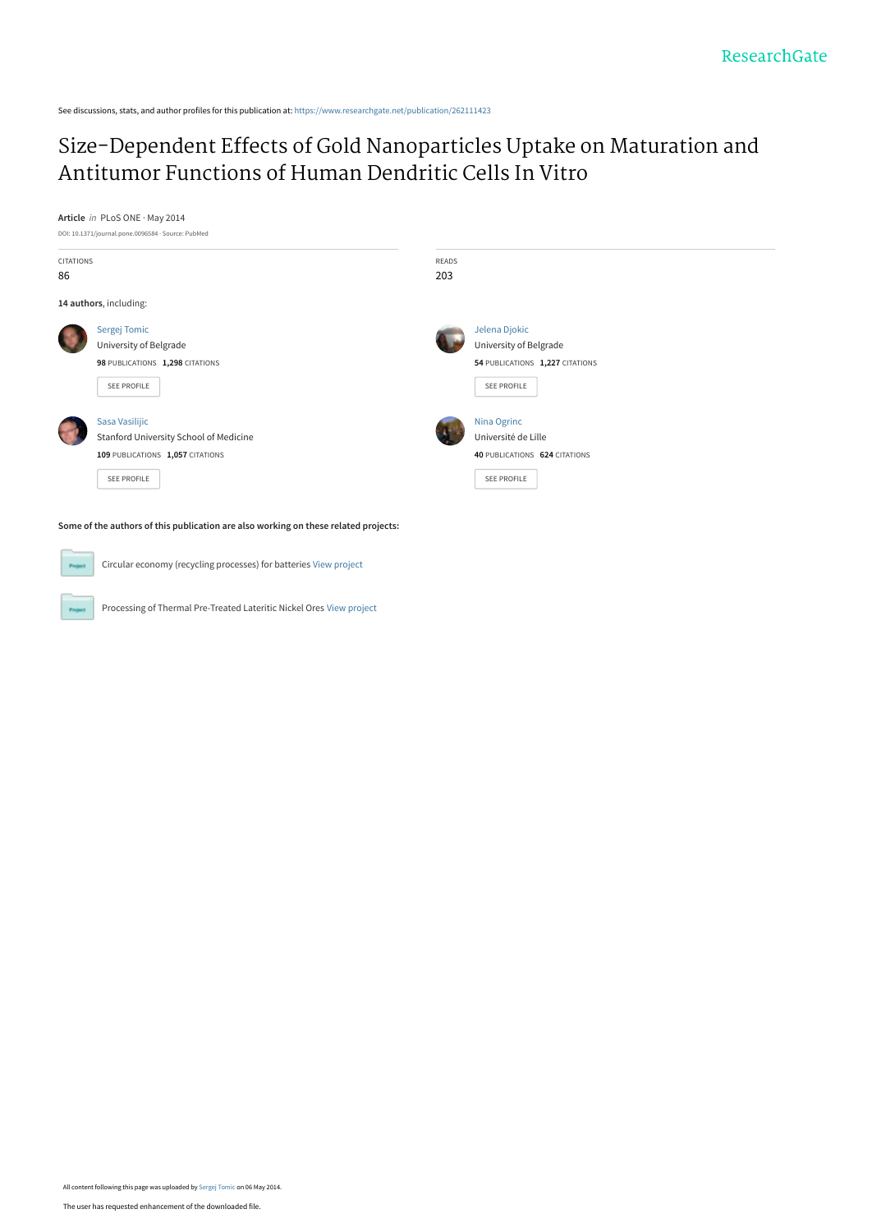See discussions, stats, and author profiles for this publication at: [https://www.researchgate.net/publication/262111423](https://www.researchgate.net/publication/262111423_Size-Dependent_Effects_of_Gold_Nanoparticles_Uptake_on_Maturation_and_Antitumor_Functions_of_Human_Dendritic_Cells_In_Vitro?enrichId=rgreq-9a8344042ff2b2c84054fad7a504f0b0-XXX&enrichSource=Y292ZXJQYWdlOzI2MjExMTQyMztBUzoxMDI3MTgzNTM5NjkxNThAMTQwMTUwMTM3MzE2Mw%3D%3D&el=1_x_2&_esc=publicationCoverPdf)

# [Size-Dependent Effects of Gold Nanoparticles Uptake on Maturation and](https://www.researchgate.net/publication/262111423_Size-Dependent_Effects_of_Gold_Nanoparticles_Uptake_on_Maturation_and_Antitumor_Functions_of_Human_Dendritic_Cells_In_Vitro?enrichId=rgreq-9a8344042ff2b2c84054fad7a504f0b0-XXX&enrichSource=Y292ZXJQYWdlOzI2MjExMTQyMztBUzoxMDI3MTgzNTM5NjkxNThAMTQwMTUwMTM3MzE2Mw%3D%3D&el=1_x_3&_esc=publicationCoverPdf) Antitumor Functions of Human Dendritic Cells In Vitro

**Article** in PLoS ONE · May 2014





Circular economy (recycling processes) for batteries [View project](https://www.researchgate.net/project/Circular-economy-recycling-processes-for-batteries?enrichId=rgreq-9a8344042ff2b2c84054fad7a504f0b0-XXX&enrichSource=Y292ZXJQYWdlOzI2MjExMTQyMztBUzoxMDI3MTgzNTM5NjkxNThAMTQwMTUwMTM3MzE2Mw%3D%3D&el=1_x_9&_esc=publicationCoverPdf)

Processing of Thermal Pre-Treated Lateritic Nickel Ores [View project](https://www.researchgate.net/project/Processing-of-Thermal-Pre-Treated-Lateritic-Nickel-Ores?enrichId=rgreq-9a8344042ff2b2c84054fad7a504f0b0-XXX&enrichSource=Y292ZXJQYWdlOzI2MjExMTQyMztBUzoxMDI3MTgzNTM5NjkxNThAMTQwMTUwMTM3MzE2Mw%3D%3D&el=1_x_9&_esc=publicationCoverPdf)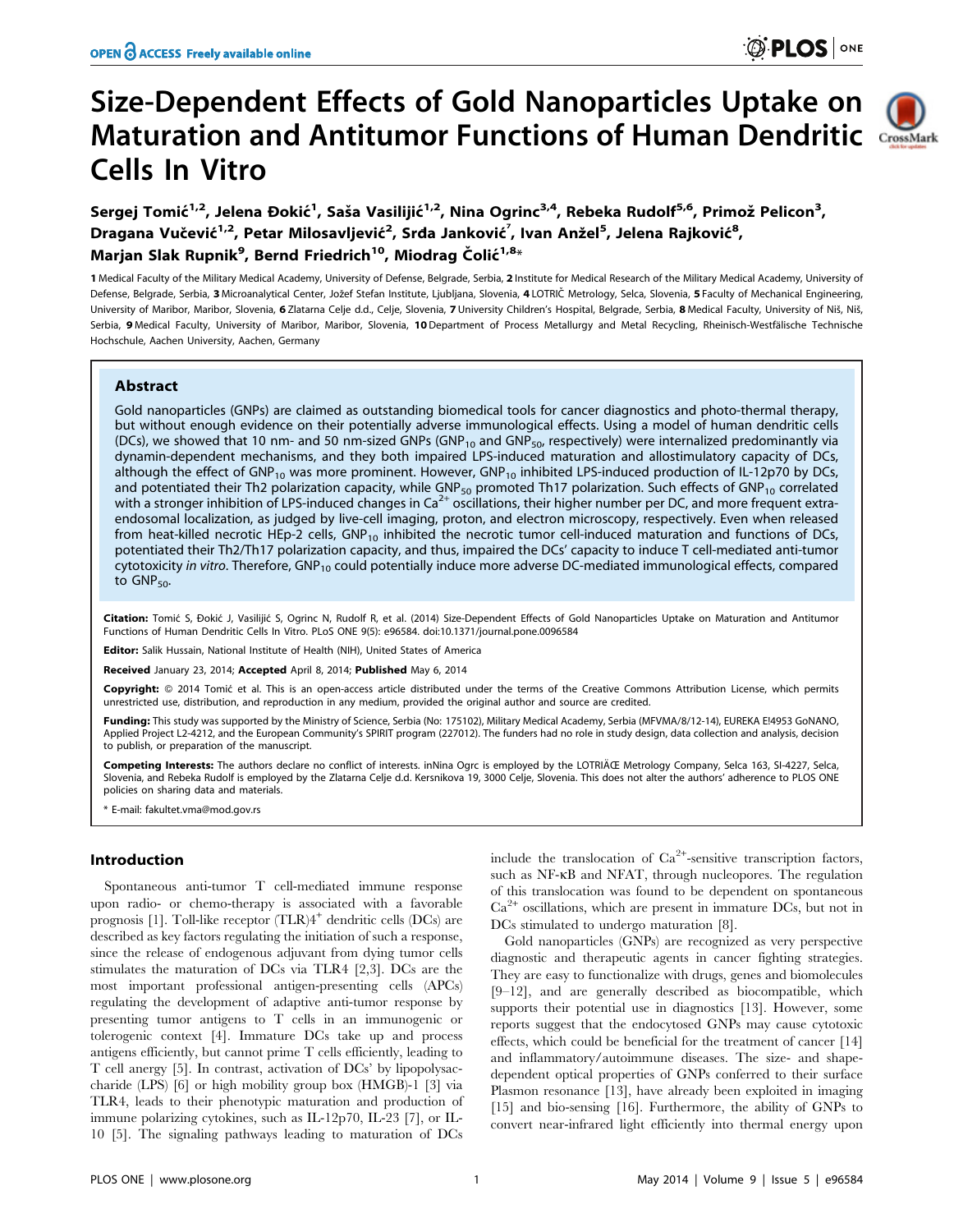# Size-Dependent Effects of Gold Nanoparticles Uptake on Maturation and Antitumor Functions of Human Dendritic Cells In Vitro



Sergej Tomić<sup>1,2</sup>, Jelena Đokić<sup>1</sup>, Saša Vasilijić<sup>1,2</sup>, Nina Ogrinc<sup>3,4</sup>, Rebeka Rudolf<sup>5,6</sup>, Primož Pelicon<sup>3</sup>, Dragana Vučević<sup>1,2</sup>, Petar Milosavljević<sup>2</sup>, Srda Janković<sup>7</sup>, Ivan Anžel<sup>5</sup>, Jelena Rajković<sup>8</sup>, Marjan Slak Rupnik<sup>9</sup>, Bernd Friedrich<sup>10</sup>, Miodrag Čolić<sup>1,8</sup>\*

1 Medical Faculty of the Military Medical Academy, University of Defense, Belgrade, Serbia, 2 Institute for Medical Research of the Military Medical Academy, University of Defense, Belgrade, Serbia, 3 Microanalytical Center, Jožef Stefan Institute, Ljubljana, Slovenia, 4 LOTRIČ Metrology, Selca, Slovenia, 5 Faculty of Mechanical Engineering, University of Maribor, Maribor, Slovenia, 6 Zlatarna Celie d.d., Celie, Slovenia, 7 University Children's Hospital, Belgrade, Serbia, 8 Medical Faculty, University of Niš, Niš. Serbia, 9 Medical Faculty, University of Maribor, Maribor, Slovenia, 10 Department of Process Metallurgy and Metal Recycling, Rheinisch-Westfälische Technische Hochschule, Aachen University, Aachen, Germany

# Abstract

Gold nanoparticles (GNPs) are claimed as outstanding biomedical tools for cancer diagnostics and photo-thermal therapy, but without enough evidence on their potentially adverse immunological effects. Using a model of human dendritic cells (DCs), we showed that 10 nm- and 50 nm-sized GNPs (GNP<sub>10</sub> and GNP<sub>50</sub>, respectively) were internalized predominantly via dynamin-dependent mechanisms, and they both impaired LPS-induced maturation and allostimulatory capacity of DCs, although the effect of GNP<sub>10</sub> was more prominent. However, GNP<sub>10</sub> inhibited LPS-induced production of IL-12p70 by DCs, and potentiated their Th2 polarization capacity, while GNP<sub>50</sub> promoted Th17 polarization. Such effects of GNP<sub>10</sub> correlated with a stronger inhibition of LPS-induced changes in Ca<sup>2+</sup> oscillations, their higher number per DC, and more frequent extraendosomal localization, as judged by live-cell imaging, proton, and electron microscopy, respectively. Even when released from heat-killed necrotic HEp-2 cells,  $GNP_{10}$  inhibited the necrotic tumor cell-induced maturation and functions of DCs, potentiated their Th2/Th17 polarization capacity, and thus, impaired the DCs' capacity to induce T cell-mediated anti-tumor cytotoxicity in vitro. Therefore,  $GNP<sub>10</sub>$  could potentially induce more adverse DC-mediated immunological effects, compared to GNP<sub>50</sub>.

Citation: Tomić S, Đokić J, Vasilijić S, Ogrinc N, Rudolf R, et al. (2014) Size-Dependent Effects of Gold Nanoparticles Uptake on Maturation and Antitumor Functions of Human Dendritic Cells In Vitro. PLoS ONE 9(5): e96584. doi:10.1371/journal.pone.0096584

Editor: Salik Hussain, National Institute of Health (NIH), United States of America

Received January 23, 2014; Accepted April 8, 2014; Published May 6, 2014

Copyright: @ 2014 Tomić et al. This is an open-access article distributed under the terms of the Creative Commons Attribution License, which permits unrestricted use, distribution, and reproduction in any medium, provided the original author and source are credited.

Funding: This study was supported by the Ministry of Science, Serbia (No: 175102), Military Medical Academy, Serbia (MFVMA/8/12-14), EUREKA E!4953 GoNANO, Applied Project L2-4212, and the European Community's SPIRIT program (227012). The funders had no role in study design, data collection and analysis, decision to publish, or preparation of the manuscript.

Competing Interests: The authors declare no conflict of interests. inNina Ogrc is employed by the LOTRIČ Metrology Company, Selca 163, SI-4227, Selca, Slovenia, and Rebeka Rudolf is employed by the Zlatarna Celje d.d. Kersnikova 19, 3000 Celje, Slovenia. This does not alter the authors' adherence to PLOS ONE policies on sharing data and materials.

\* E-mail: fakultet.vma@mod.gov.rs

# Introduction

Spontaneous anti-tumor T cell-mediated immune response upon radio- or chemo-therapy is associated with a favorable prognosis [1]. Toll-like receptor (TLR)4<sup>+</sup> dendritic cells (DCs) are described as key factors regulating the initiation of such a response, since the release of endogenous adjuvant from dying tumor cells stimulates the maturation of DCs via TLR4 [2,3]. DCs are the most important professional antigen-presenting cells (APCs) regulating the development of adaptive anti-tumor response by presenting tumor antigens to T cells in an immunogenic or tolerogenic context [4]. Immature DCs take up and process antigens efficiently, but cannot prime T cells efficiently, leading to T cell anergy [5]. In contrast, activation of DCs' by lipopolysaccharide (LPS) [6] or high mobility group box (HMGB)-1 [3] via TLR4, leads to their phenotypic maturation and production of immune polarizing cytokines, such as IL-12p70, IL-23 [7], or IL-10 [5]. The signaling pathways leading to maturation of DCs

include the translocation of  $Ca^{2+}$ -sensitive transcription factors, such as NF- $\kappa$ B and NFAT, through nucleopores. The regulation of this translocation was found to be dependent on spontaneous Ca2<sup>+</sup> oscillations, which are present in immature DCs, but not in DCs stimulated to undergo maturation [8].

Gold nanoparticles (GNPs) are recognized as very perspective diagnostic and therapeutic agents in cancer fighting strategies. They are easy to functionalize with drugs, genes and biomolecules [9–12], and are generally described as biocompatible, which supports their potential use in diagnostics [13]. However, some reports suggest that the endocytosed GNPs may cause cytotoxic effects, which could be beneficial for the treatment of cancer [14] and inflammatory/autoimmune diseases. The size- and shapedependent optical properties of GNPs conferred to their surface Plasmon resonance [13], have already been exploited in imaging [15] and bio-sensing [16]. Furthermore, the ability of GNPs to convert near-infrared light efficiently into thermal energy upon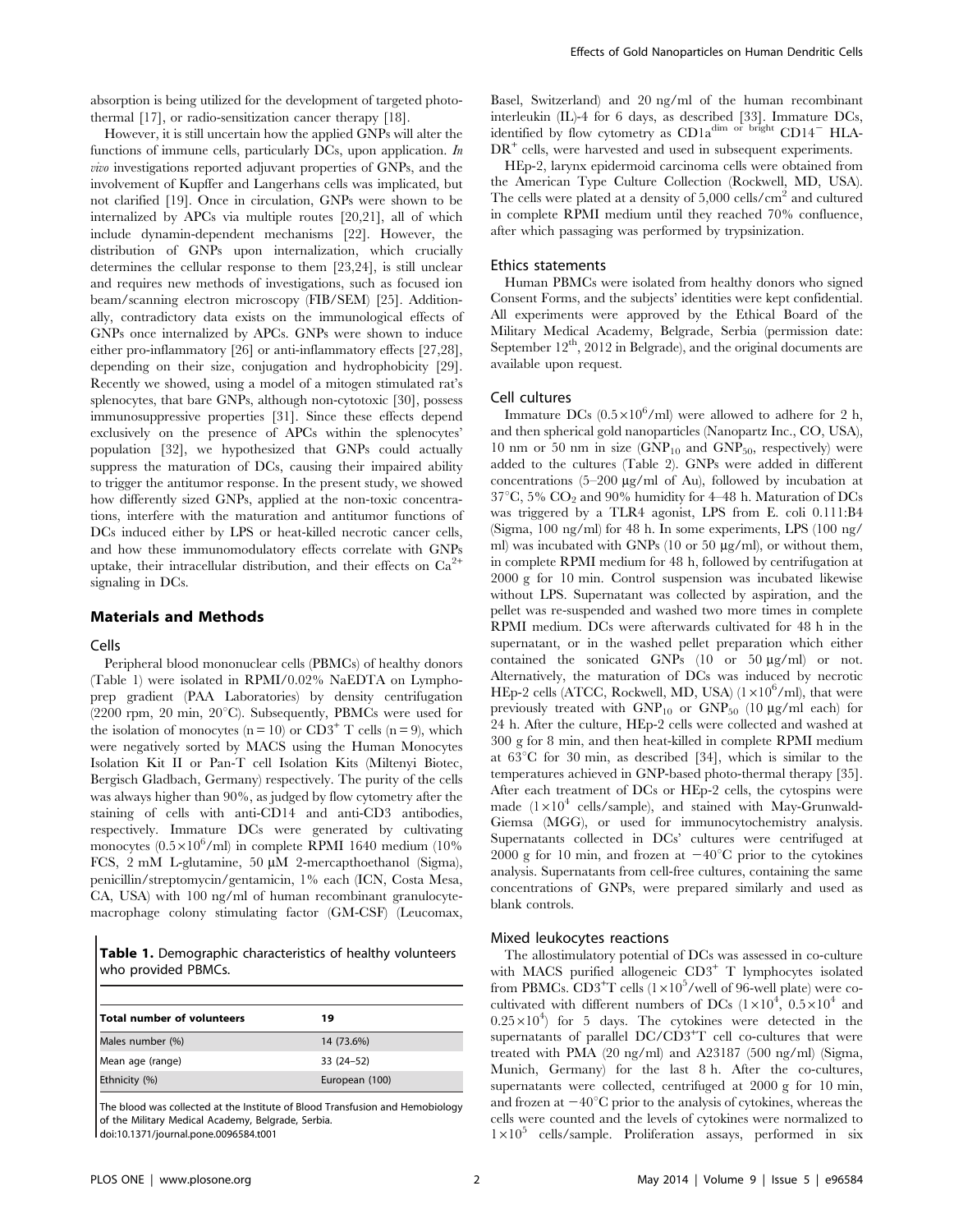absorption is being utilized for the development of targeted photothermal [17], or radio-sensitization cancer therapy [18].

However, it is still uncertain how the applied GNPs will alter the functions of immune cells, particularly DCs, upon application. In vivo investigations reported adjuvant properties of GNPs, and the involvement of Kupffer and Langerhans cells was implicated, but not clarified [19]. Once in circulation, GNPs were shown to be internalized by APCs via multiple routes [20,21], all of which include dynamin-dependent mechanisms [22]. However, the distribution of GNPs upon internalization, which crucially determines the cellular response to them [23,24], is still unclear and requires new methods of investigations, such as focused ion beam/scanning electron microscopy (FIB/SEM) [25]. Additionally, contradictory data exists on the immunological effects of GNPs once internalized by APCs. GNPs were shown to induce either pro-inflammatory [26] or anti-inflammatory effects [27,28], depending on their size, conjugation and hydrophobicity [29]. Recently we showed, using a model of a mitogen stimulated rat's splenocytes, that bare GNPs, although non-cytotoxic [30], possess immunosuppressive properties [31]. Since these effects depend exclusively on the presence of APCs within the splenocytes' population [32], we hypothesized that GNPs could actually suppress the maturation of DCs, causing their impaired ability to trigger the antitumor response. In the present study, we showed how differently sized GNPs, applied at the non-toxic concentrations, interfere with the maturation and antitumor functions of DCs induced either by LPS or heat-killed necrotic cancer cells, and how these immunomodulatory effects correlate with GNPs uptake, their intracellular distribution, and their effects on  $Ca^{2+}$ signaling in DCs.

#### Materials and Methods

#### Cells

Peripheral blood mononuclear cells (PBMCs) of healthy donors (Table 1) were isolated in RPMI/0.02% NaEDTA on Lymphoprep gradient (PAA Laboratories) by density centrifugation (2200 rpm, 20 min, 20 $^{\circ}$ C). Subsequently, PBMCs were used for the isolation of monocytes ( $n = 10$ ) or CD3<sup>+</sup> T cells ( $n = 9$ ), which were negatively sorted by MACS using the Human Monocytes Isolation Kit II or Pan-T cell Isolation Kits (Miltenyi Biotec, Bergisch Gladbach, Germany) respectively. The purity of the cells was always higher than 90%, as judged by flow cytometry after the staining of cells with anti-CD14 and anti-CD3 antibodies, respectively. Immature DCs were generated by cultivating monocytes  $(0.5 \times 10^6/\text{ml})$  in complete RPMI 1640 medium (10%) FCS,  $2 \text{ mM}$  L-glutamine,  $50 \mu \text{M}$  2-mercapthoethanol (Sigma), penicillin/streptomycin/gentamicin, 1% each (ICN, Costa Mesa, CA, USA) with 100 ng/ml of human recombinant granulocytemacrophage colony stimulating factor (GM-CSF) (Leucomax,

Table 1. Demographic characteristics of healthy volunteers who provided PBMCs.

| Total number of volunteers | 19             |  |
|----------------------------|----------------|--|
| Males number (%)           | 14 (73.6%)     |  |
| Mean age (range)           | $33(24-52)$    |  |
| Ethnicity (%)              | European (100) |  |

The blood was collected at the Institute of Blood Transfusion and Hemobiology of the Military Medical Academy, Belgrade, Serbia.

doi:10.1371/journal.pone.0096584.t001

Basel, Switzerland) and 20 ng/ml of the human recombinant interleukin (IL)-4 for 6 days, as described [33]. Immature DCs, identified by flow cytometry as  $CD1a^{dim}$  or bright  $CD14^-$  HLA-DR<sup>+</sup> cells, were harvested and used in subsequent experiments.

HEp-2, larynx epidermoid carcinoma cells were obtained from the American Type Culture Collection (Rockwell, MD, USA). The cells were plated at a density of  $5,000$  cells/cm<sup>2</sup> and cultured in complete RPMI medium until they reached 70% confluence, after which passaging was performed by trypsinization.

## Ethics statements

Human PBMCs were isolated from healthy donors who signed Consent Forms, and the subjects' identities were kept confidential. All experiments were approved by the Ethical Board of the Military Medical Academy, Belgrade, Serbia (permission date: September  $12<sup>th</sup>$ ,  $2012$  in Belgrade), and the original documents are available upon request.

#### Cell cultures

Immature DCs  $(0.5 \times 10^6/\text{ml})$  were allowed to adhere for 2 h, and then spherical gold nanoparticles (Nanopartz Inc., CO, USA), 10 nm or 50 nm in size  $(GNP<sub>10</sub>$  and  $GNP<sub>50</sub>$ , respectively) were added to the cultures (Table 2). GNPs were added in different concentrations  $(5-200 \text{ kg/ml of Au})$ , followed by incubation at  $37^{\circ}$ C, 5% CO<sub>2</sub> and 90% humidity for 4–48 h. Maturation of DCs was triggered by a TLR4 agonist, LPS from E. coli 0.111:B4 (Sigma, 100 ng/ml) for 48 h. In some experiments, LPS (100 ng/ ml) was incubated with GNPs (10 or 50  $\mu$ g/ml), or without them, in complete RPMI medium for 48 h, followed by centrifugation at 2000 g for 10 min. Control suspension was incubated likewise without LPS. Supernatant was collected by aspiration, and the pellet was re-suspended and washed two more times in complete RPMI medium. DCs were afterwards cultivated for 48 h in the supernatant, or in the washed pellet preparation which either contained the sonicated GNPs  $(10$  or  $50 \mu g/ml)$  or not. Alternatively, the maturation of DCs was induced by necrotic HEp-2 cells (ATCC, Rockwell, MD, USA)  $(1 \times 10^6$ /ml), that were previously treated with  $GNP<sub>10</sub>$  or  $GNP<sub>50</sub>$  (10  $\mu$ g/ml each) for 24 h. After the culture, HEp-2 cells were collected and washed at 300 g for 8 min, and then heat-killed in complete RPMI medium at  $63^{\circ}$ C for 30 min, as described [34], which is similar to the temperatures achieved in GNP-based photo-thermal therapy [35]. After each treatment of DCs or HEp-2 cells, the cytospins were made  $(1\times10^4$  cells/sample), and stained with May-Grunwald-Giemsa (MGG), or used for immunocytochemistry analysis. Supernatants collected in DCs' cultures were centrifuged at 2000 g for 10 min, and frozen at  $-40^{\circ}\text{C}$  prior to the cytokines analysis. Supernatants from cell-free cultures, containing the same concentrations of GNPs, were prepared similarly and used as blank controls.

#### Mixed leukocytes reactions

The allostimulatory potential of DCs was assessed in co-culture with MACS purified allogeneic  $CD3<sup>+</sup>$  T lymphocytes isolated from PBMCs.  $CD3^{+}T$  cells  $(1 \times 10^{5}/$  well of 96-well plate) were cocultivated with different numbers of DCs  $(1 \times 10^4, 0.5 \times 10^4$  and  $0.25 \times 10^4$ ) for 5 days. The cytokines were detected in the supernatants of parallel  $DC/CD3+T$  cell co-cultures that were treated with PMA (20 ng/ml) and A23187 (500 ng/ml) (Sigma, Munich, Germany) for the last 8 h. After the co-cultures, supernatants were collected, centrifuged at 2000 g for 10 min, and frozen at  $-40^{\circ}$ C prior to the analysis of cytokines, whereas the cells were counted and the levels of cytokines were normalized to  $1\times10^5$  cells/sample. Proliferation assays, performed in six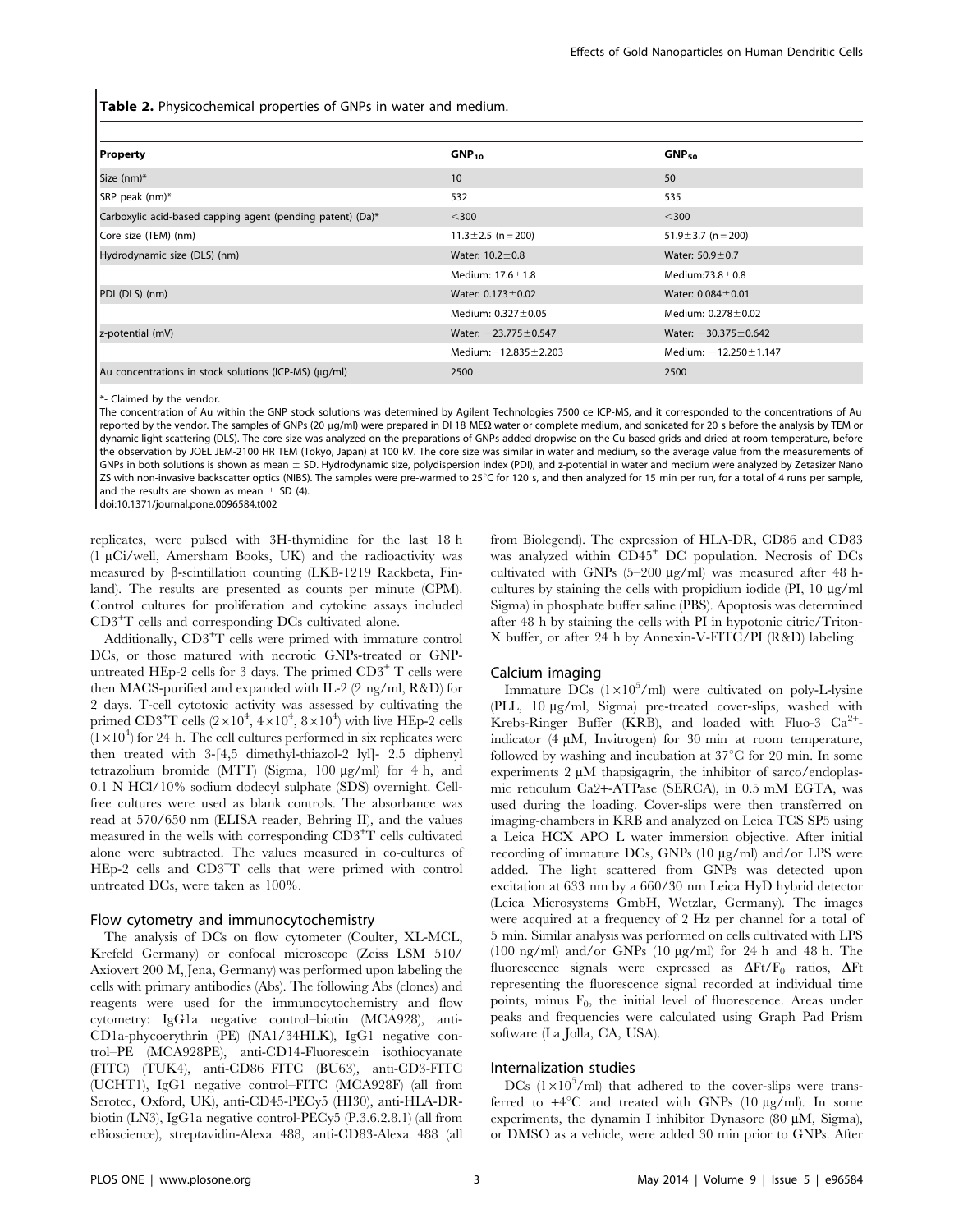Table 2. Physicochemical properties of GNPs in water and medium.

| <b>Property</b>                                            | GNP <sub>10</sub>           | GNP <sub>50</sub>           |
|------------------------------------------------------------|-----------------------------|-----------------------------|
| Size (nm)*                                                 | 10                          | 50                          |
| SRP peak (nm)*                                             | 532                         | 535                         |
| Carboxylic acid-based capping agent (pending patent) (Da)* | $300$                       | $300$                       |
| Core size (TEM) (nm)                                       | $11.3 \pm 2.5$ (n = 200)    | 51.9 $\pm$ 3.7 (n = 200)    |
| Hydrodynamic size (DLS) (nm)                               | Water: $10.2 \pm 0.8$       | Water: $50.9 \pm 0.7$       |
|                                                            | Medium: $17.6 \pm 1.8$      | Medium: $73.8 \pm 0.8$      |
| PDI (DLS) (nm)                                             | Water: $0.173 \pm 0.02$     | Water: $0.084 \pm 0.01$     |
|                                                            | Medium: $0.327 \pm 0.05$    | Medium: $0.278 \pm 0.02$    |
| z-potential (mV)                                           | Water: $-23.775 \pm 0.547$  | Water: $-30.375 \pm 0.642$  |
|                                                            | Medium: $-12.835 \pm 2.203$ | Medium: $-12.250 \pm 1.147$ |
| Au concentrations in stock solutions (ICP-MS) (µq/ml)      | 2500                        | 2500                        |

\*- Claimed by the vendor.

The concentration of Au within the GNP stock solutions was determined by Agilent Technologies 7500 ce ICP-MS, and it corresponded to the concentrations of Au reported by the vendor. The samples of GNPs (20 µg/ml) were prepared in DI 18 MEΩ water or complete medium, and sonicated for 20 s before the analysis by TEM or dynamic light scattering (DLS). The core size was analyzed on the preparations of GNPs added dropwise on the Cu-based grids and dried at room temperature, before the observation by JOEL JEM-2100 HR TEM (Tokyo, Japan) at 100 kV. The core size was similar in water and medium, so the average value from the measurements of GNPs in both solutions is shown as mean  $\pm$  SD. Hydrodynamic size, polydispersion index (PDI), and z-potential in water and medium were analyzed by Zetasizer Nano ZS with non-invasive backscatter optics (NIBS). The samples were pre-warmed to 25°C for 120 s, and then analyzed for 15 min per run, for a total of 4 runs per sample, and the results are shown as mean  $\pm$  SD (4).

doi:10.1371/journal.pone.0096584.t002

replicates, were pulsed with 3H-thymidine for the last 18 h  $(1 \mu\text{Ci/well}, \text{Amersham Books}, \text{UK})$  and the radioactivity was measured by  $\beta$ -scintillation counting (LKB-1219 Rackbeta, Finland). The results are presented as counts per minute (CPM). Control cultures for proliferation and cytokine assays included CD3+T cells and corresponding DCs cultivated alone.

Additionally, CD3<sup>+</sup>T cells were primed with immature control DCs, or those matured with necrotic GNPs-treated or GNPuntreated HEp-2 cells for 3 days. The primed  $CD3^+$  T cells were then MACS-purified and expanded with IL-2 (2 ng/ml, R&D) for 2 days. T-cell cytotoxic activity was assessed by cultivating the primed CD3<sup>+</sup>T cells (2×10<sup>4</sup>, 4×10<sup>4</sup>, 8×10<sup>4</sup>) with live HEp-2 cells  $(1\times10^4)$  for 24 h. The cell cultures performed in six replicates were then treated with 3-[4,5 dimethyl-thiazol-2 lyl]- 2.5 diphenyl tetrazolium bromide (MTT) (Sigma,  $100 \mu g/ml$ ) for 4 h, and 0.1 N HCl/10% sodium dodecyl sulphate (SDS) overnight. Cellfree cultures were used as blank controls. The absorbance was read at 570/650 nm (ELISA reader, Behring II), and the values measured in the wells with corresponding CD3+T cells cultivated alone were subtracted. The values measured in co-cultures of HEp-2 cells and CD3+T cells that were primed with control untreated DCs, were taken as 100%.

#### Flow cytometry and immunocytochemistry

The analysis of DCs on flow cytometer (Coulter, XL-MCL, Krefeld Germany) or confocal microscope (Zeiss LSM 510/ Axiovert 200 M, Jena, Germany) was performed upon labeling the cells with primary antibodies (Abs). The following Abs (clones) and reagents were used for the immunocytochemistry and flow cytometry: IgG1a negative control–biotin (MCA928), anti-CD1a-phycoerythrin (PE) (NA1/34HLK), IgG1 negative control–PE (MCA928PE), anti-CD14-Fluorescein isothiocyanate (FITC) (TUK4), anti-CD86–FITC (BU63), anti-CD3-FITC (UCHT1), IgG1 negative control–FITC (MCA928F) (all from Serotec, Oxford, UK), anti-CD45-PECy5 (HI30), anti-HLA-DRbiotin (LN3), IgG1a negative control-PECy5 (P.3.6.2.8.1) (all from eBioscience), streptavidin-Alexa 488, anti-CD83-Alexa 488 (all from Biolegend). The expression of HLA-DR, CD86 and CD83 was analyzed within CD45<sup>+</sup> DC population. Necrosis of DCs cultivated with GNPs  $(5-200 \mu g/ml)$  was measured after 48 hcultures by staining the cells with propidium iodide  $(PI, 10 \mu g/ml)$ Sigma) in phosphate buffer saline (PBS). Apoptosis was determined after 48 h by staining the cells with PI in hypotonic citric/Triton-X buffer, or after 24 h by Annexin-V-FITC/PI (R&D) labeling.

#### Calcium imaging

Immature DCs  $(1 \times 10^5$ /ml) were cultivated on poly-L-lysine (PLL, 10 mg/ml, Sigma) pre-treated cover-slips, washed with Krebs-Ringer Buffer (KRB), and loaded with Fluo-3 Ca<sup>2+</sup>indicator (4  $\mu$ M, Invitrogen) for 30 min at room temperature, followed by washing and incubation at  $37^{\circ}$ C for 20 min. In some experiments  $2 \mu M$  thapsigagrin, the inhibitor of sarco/endoplasmic reticulum Ca2+-ATPase (SERCA), in 0.5 mM EGTA, was used during the loading. Cover-slips were then transferred on imaging-chambers in KRB and analyzed on Leica TCS SP5 using a Leica HCX APO L water immersion objective. After initial recording of immature DCs, GNPs  $(10 \mu g/ml)$  and/or LPS were added. The light scattered from GNPs was detected upon excitation at 633 nm by a 660/30 nm Leica HyD hybrid detector (Leica Microsystems GmbH, Wetzlar, Germany). The images were acquired at a frequency of 2 Hz per channel for a total of 5 min. Similar analysis was performed on cells cultivated with LPS (100 ng/ml) and/or GNPs (10  $\mu$ g/ml) for 24 h and 48 h. The fluorescence signals were expressed as  $\Delta Ft/F_0$  ratios,  $\Delta Ft$ representing the fluorescence signal recorded at individual time points, minus  $F_0$ , the initial level of fluorescence. Areas under peaks and frequencies were calculated using Graph Pad Prism software (La Jolla, CA, USA).

#### Internalization studies

DCs  $(1\times10^5/ml)$  that adhered to the cover-slips were transferred to  $+4^{\circ}$ C and treated with GNPs (10  $\mu$ g/ml). In some experiments, the dynamin I inhibitor Dynasore (80  $\mu$ M, Sigma), or DMSO as a vehicle, were added 30 min prior to GNPs. After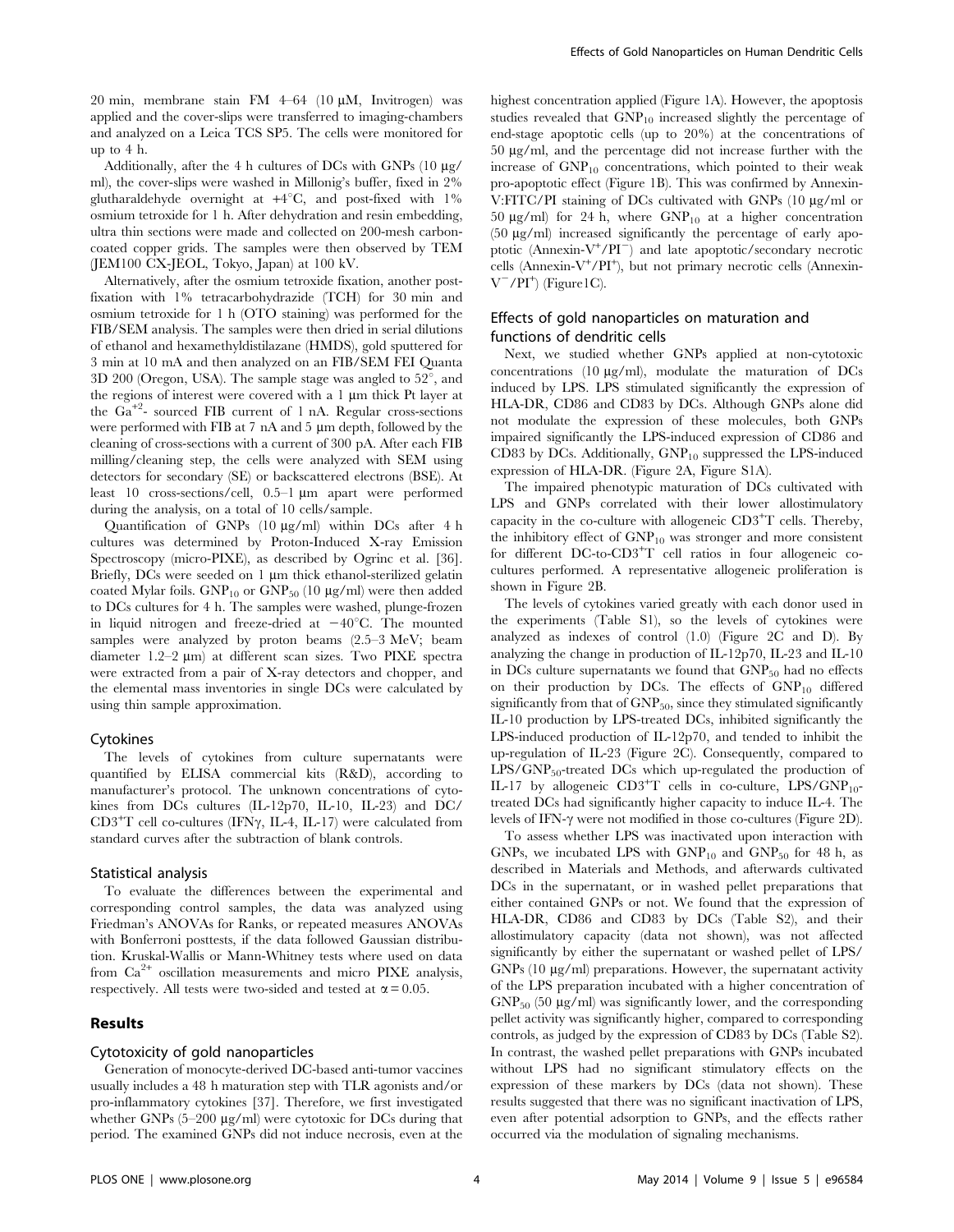20 min, membrane stain FM  $4-64$  (10  $\mu$ M, Invitrogen) was applied and the cover-slips were transferred to imaging-chambers and analyzed on a Leica TCS SP5. The cells were monitored for up to 4 h.

Additionally, after the 4 h cultures of DCs with GNPs  $(10 \mu g)$ ml), the cover-slips were washed in Millonig's buffer, fixed in 2% glutharaldehyde overnight at  $+4^{\circ}C$ , and post-fixed with  $1\%$ osmium tetroxide for 1 h. After dehydration and resin embedding, ultra thin sections were made and collected on 200-mesh carboncoated copper grids. The samples were then observed by TEM (JEM100 CX-JEOL, Tokyo, Japan) at 100 kV.

Alternatively, after the osmium tetroxide fixation, another postfixation with 1% tetracarbohydrazide (TCH) for 30 min and osmium tetroxide for 1 h (OTO staining) was performed for the FIB/SEM analysis. The samples were then dried in serial dilutions of ethanol and hexamethyldistilazane (HMDS), gold sputtered for 3 min at 10 mA and then analyzed on an FIB/SEM FEI Quanta  $3D 200$  (Oregon, USA). The sample stage was angled to  $52^{\circ}$ , and the regions of interest were covered with a  $1 \mu m$  thick Pt layer at the Ga+<sup>2</sup> - sourced FIB current of 1 nA. Regular cross-sections were performed with FIB at  $7$  nA and  $5 \mu m$  depth, followed by the cleaning of cross-sections with a current of 300 pA. After each FIB milling/cleaning step, the cells were analyzed with SEM using detectors for secondary (SE) or backscattered electrons (BSE). At least 10 cross-sections/cell, 0.5–1 µm apart were performed during the analysis, on a total of 10 cells/sample.

Quantification of GNPs  $(10 \text{ kg/ml})$  within DCs after 4 h cultures was determined by Proton-Induced X-ray Emission Spectroscopy (micro-PIXE), as described by Ogrinc et al. [36]. Briefly, DCs were seeded on  $1 \mu m$  thick ethanol-sterilized gelatin coated Mylar foils.  $GNP_{10}$  or  $GNP_{50}$  (10  $\mu$ g/ml) were then added to DCs cultures for 4 h. The samples were washed, plunge-frozen in liquid nitrogen and freeze-dried at  $-40^{\circ}$ C. The mounted samples were analyzed by proton beams (2.5–3 MeV; beam diameter 1.2–2 µm) at different scan sizes. Two PIXE spectra were extracted from a pair of X-ray detectors and chopper, and the elemental mass inventories in single DCs were calculated by using thin sample approximation.

# Cytokines

The levels of cytokines from culture supernatants were quantified by ELISA commercial kits (R&D), according to manufacturer's protocol. The unknown concentrations of cytokines from DCs cultures (IL-12p70, IL-10, IL-23) and DC/  $CD3^+T$  cell co-cultures (IFN $\gamma$ , IL-4, IL-17) were calculated from standard curves after the subtraction of blank controls.

#### Statistical analysis

To evaluate the differences between the experimental and corresponding control samples, the data was analyzed using Friedman's ANOVAs for Ranks, or repeated measures ANOVAs with Bonferroni posttests, if the data followed Gaussian distribution. Kruskal-Wallis or Mann-Whitney tests where used on data from Ca<sup>2+</sup> oscillation measurements and micro PIXE analysis, respectively. All tests were two-sided and tested at  $\alpha = 0.05$ .

# Results

### Cytotoxicity of gold nanoparticles

Generation of monocyte-derived DC-based anti-tumor vaccines usually includes a 48 h maturation step with TLR agonists and/or pro-inflammatory cytokines [37]. Therefore, we first investigated whether GNPs  $(5-200 \mu g/ml)$  were cytotoxic for DCs during that period. The examined GNPs did not induce necrosis, even at the

highest concentration applied (Figure 1A). However, the apoptosis studies revealed that  $GNP<sub>10</sub>$  increased slightly the percentage of end-stage apoptotic cells (up to 20%) at the concentrations of  $50 \mu g/ml$ , and the percentage did not increase further with the increase of  $GNP<sub>10</sub>$  concentrations, which pointed to their weak pro-apoptotic effect (Figure 1B). This was confirmed by Annexin-V:FITC/PI staining of DCs cultivated with GNPs (10 µg/ml or 50  $\mu$ g/ml) for 24 h, where GNP<sub>10</sub> at a higher concentration  $(50 \mu g/ml)$  increased significantly the percentage of early apoptotic (Annexin-V<sup>+</sup> /PI<sup>2</sup> ) and late apoptotic/secondary necrotic cells (Annexin-V<sup>+</sup>/PI<sup>+</sup>), but not primary necrotic cells (Annexin- $V^-/PI^+$  (Figure1C).

# Effects of gold nanoparticles on maturation and functions of dendritic cells

Next, we studied whether GNPs applied at non-cytotoxic concentrations (10  $\mu$ g/ml), modulate the maturation of DCs induced by LPS. LPS stimulated significantly the expression of HLA-DR, CD86 and CD83 by DCs. Although GNPs alone did not modulate the expression of these molecules, both GNPs impaired significantly the LPS-induced expression of CD86 and CD83 by DCs. Additionally,  $GNP_{10}$  suppressed the LPS-induced expression of HLA-DR. (Figure 2A, Figure S1A).

The impaired phenotypic maturation of DCs cultivated with LPS and GNPs correlated with their lower allostimulatory capacity in the co-culture with allogeneic  $CD3<sup>+</sup>T$  cells. Thereby, the inhibitory effect of  $GNP<sub>10</sub>$  was stronger and more consistent for different DC-to-CD3+T cell ratios in four allogeneic cocultures performed. A representative allogeneic proliferation is shown in Figure 2B.

The levels of cytokines varied greatly with each donor used in the experiments (Table S1), so the levels of cytokines were analyzed as indexes of control (1.0) (Figure 2C and D). By analyzing the change in production of IL-12p70, IL-23 and IL-10 in DCs culture supernatants we found that  $GNP_{50}$  had no effects on their production by DCs. The effects of  $GNP<sub>10</sub>$  differed significantly from that of  $GNP<sub>50</sub>$ , since they stimulated significantly IL-10 production by LPS-treated DCs, inhibited significantly the LPS-induced production of IL-12p70, and tended to inhibit the up-regulation of IL-23 (Figure 2C). Consequently, compared to  $LPS/GNP_{50}$ -treated DCs which up-regulated the production of IL-17 by allogeneic  $CD3+T$  cells in co-culture,  $LPS/GNP_{10}$ treated DCs had significantly higher capacity to induce IL-4. The levels of IFN- $\gamma$  were not modified in those co-cultures (Figure 2D).

To assess whether LPS was inactivated upon interaction with GNPs, we incubated LPS with  $GNP<sub>10</sub>$  and  $GNP<sub>50</sub>$  for 48 h, as described in Materials and Methods, and afterwards cultivated DCs in the supernatant, or in washed pellet preparations that either contained GNPs or not. We found that the expression of HLA-DR, CD86 and CD83 by DCs (Table S2), and their allostimulatory capacity (data not shown), was not affected significantly by either the supernatant or washed pellet of LPS/ GNPs (10 µg/ml) preparations. However, the supernatant activity of the LPS preparation incubated with a higher concentration of  $GNP<sub>50</sub>$  (50 µg/ml) was significantly lower, and the corresponding pellet activity was significantly higher, compared to corresponding controls, as judged by the expression of CD83 by DCs (Table S2). In contrast, the washed pellet preparations with GNPs incubated without LPS had no significant stimulatory effects on the expression of these markers by DCs (data not shown). These results suggested that there was no significant inactivation of LPS, even after potential adsorption to GNPs, and the effects rather occurred via the modulation of signaling mechanisms.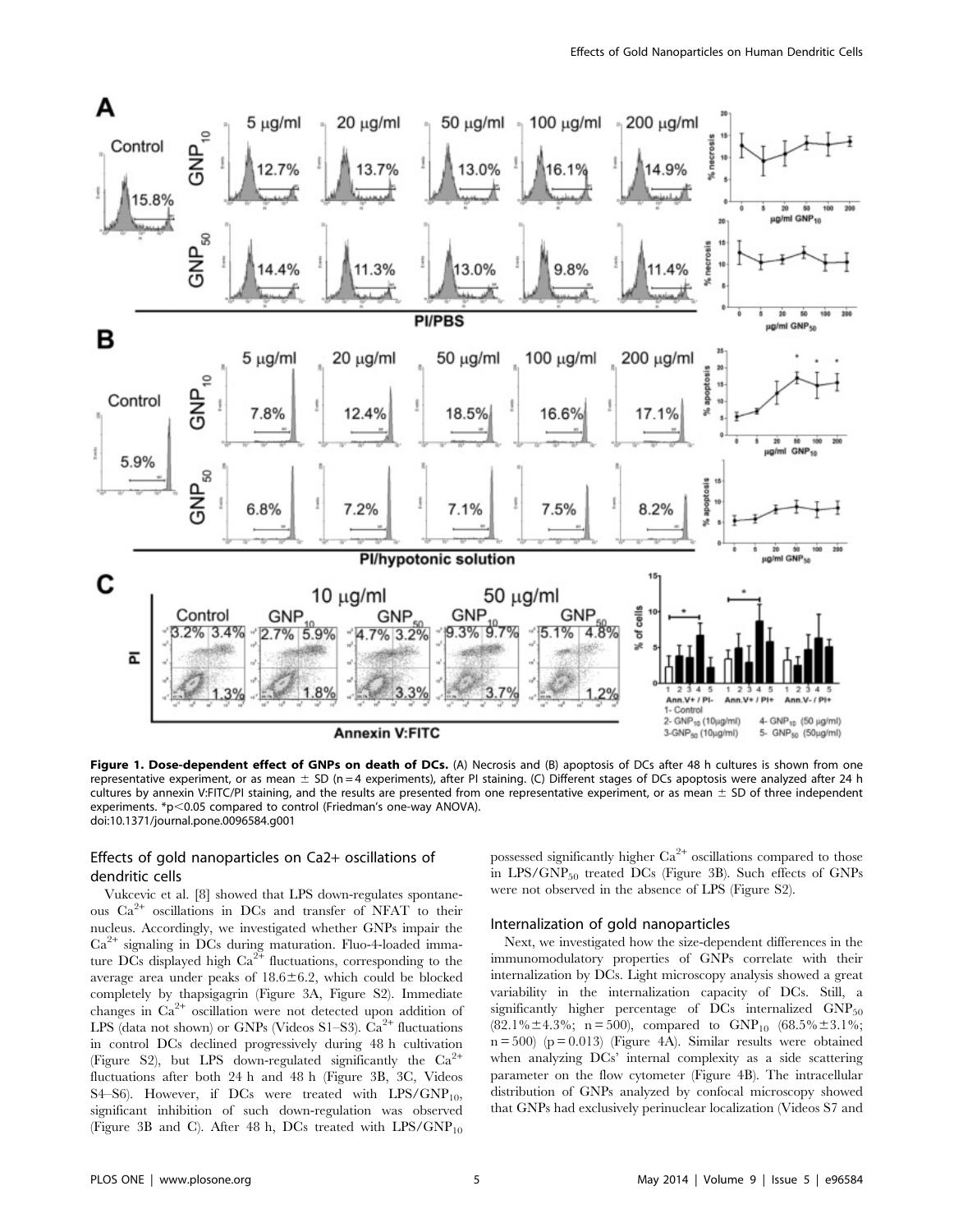

Figure 1. Dose-dependent effect of GNPs on death of DCs. (A) Necrosis and (B) apoptosis of DCs after 48 h cultures is shown from one representative experiment, or as mean  $\pm$  SD (n = 4 experiments), after PI staining. (C) Different stages of DCs apoptosis were analyzed after 24 h cultures by annexin V:FITC/PI staining, and the results are presented from one representative experiment, or as mean  $\pm$  SD of three independent experiments. \*p<0.05 compared to control (Friedman's one-way ANOVA). doi:10.1371/journal.pone.0096584.g001

# Effects of gold nanoparticles on Ca2+ oscillations of dendritic cells

Vukcevic et al. [8] showed that LPS down-regulates spontaneous Ca2<sup>+</sup> oscillations in DCs and transfer of NFAT to their nucleus. Accordingly, we investigated whether GNPs impair the Ca2<sup>+</sup> signaling in DCs during maturation. Fluo-4-loaded immature DCs displayed high  $\text{Ca}^{2+}$  fluctuations, corresponding to the average area under peaks of  $18.6 \pm 6.2$ , which could be blocked completely by thapsigagrin (Figure 3A, Figure S2). Immediate changes in Ca<sup>2+</sup> oscillation were not detected upon addition of LPS (data not shown) or GNPs (Videos S1–S3).  $\text{Ca}^{2+}$  fluctuations in control DCs declined progressively during 48 h cultivation (Figure S2), but LPS down-regulated significantly the  $Ca^{2+}$ fluctuations after both 24 h and 48 h (Figure 3B, 3C, Videos S4–S6). However, if DCs were treated with  $LPS/GNP_{10}$ , significant inhibition of such down-regulation was observed (Figure 3B and C). After 48 h, DCs treated with  $LPS/GNP_{10}$ 

possessed significantly higher  $Ca^{2+}$  oscillations compared to those in LPS/GNP<sub>50</sub> treated DCs (Figure 3B). Such effects of GNPs were not observed in the absence of LPS (Figure S2).

# Internalization of gold nanoparticles

Next, we investigated how the size-dependent differences in the immunomodulatory properties of GNPs correlate with their internalization by DCs. Light microscopy analysis showed a great variability in the internalization capacity of DCs. Still, a significantly higher percentage of  $DCs$  internalized  $GNP_{50}$ (82.1% $\pm$ 4.3%; n = 500), compared to  $GNP_{10}$  (68.5% $\pm$ 3.1%;  $n = 500$  ( $p = 0.013$ ) (Figure 4A). Similar results were obtained when analyzing DCs' internal complexity as a side scattering parameter on the flow cytometer (Figure 4B). The intracellular distribution of GNPs analyzed by confocal microscopy showed that GNPs had exclusively perinuclear localization (Videos S7 and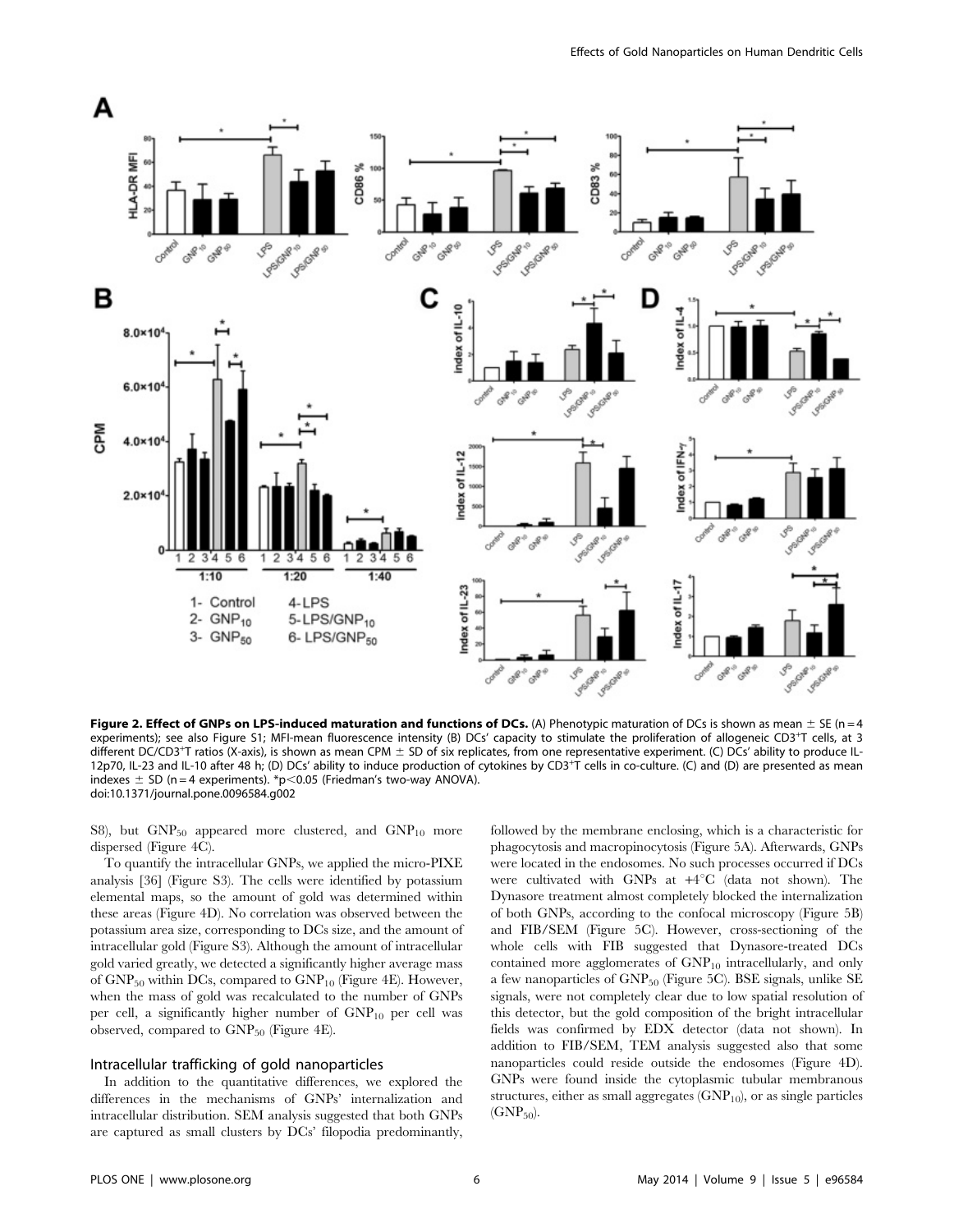

Figure 2. Effect of GNPs on LPS-induced maturation and functions of DCs. (A) Phenotypic maturation of DCs is shown as mean  $\pm$  SE (n = 4 experiments); see also Figure S1; MFI-mean fluorescence intensity (B) DCs' capacity to stimulate the proliferation of allogeneic CD3<sup>+</sup>T cells, at 3 different DC/CD3<sup>+</sup>T ratios (X-axis), is shown as mean CPM  $\pm$  SD of six replicates, from one representative experiment. (C) DCs' ability to produce IL-12p70, IL-23 and IL-10 after 48 h; (D) DCs' ability to induce production of cytokines by CD3<sup>+</sup>T cells in co-culture. (C) and (D) are presented as mean indexes  $\pm$  SD (n = 4 experiments). \*p<0.05 (Friedman's two-way ANOVA). doi:10.1371/journal.pone.0096584.g002

S8), but  $GNP_{50}$  appeared more clustered, and  $GNP_{10}$  more dispersed (Figure 4C).

To quantify the intracellular GNPs, we applied the micro-PIXE analysis [36] (Figure S3). The cells were identified by potassium elemental maps, so the amount of gold was determined within these areas (Figure 4D). No correlation was observed between the potassium area size, corresponding to DCs size, and the amount of intracellular gold (Figure S3). Although the amount of intracellular gold varied greatly, we detected a significantly higher average mass of  $GNP_{50}$  within DCs, compared to  $GNP_{10}$  (Figure 4E). However, when the mass of gold was recalculated to the number of GNPs per cell, a significantly higher number of  $GNP_{10}$  per cell was observed, compared to  $GNP_{50}$  (Figure 4E).

#### Intracellular trafficking of gold nanoparticles

In addition to the quantitative differences, we explored the differences in the mechanisms of GNPs' internalization and intracellular distribution. SEM analysis suggested that both GNPs are captured as small clusters by DCs' filopodia predominantly,

followed by the membrane enclosing, which is a characteristic for phagocytosis and macropinocytosis (Figure 5A). Afterwards, GNPs were located in the endosomes. No such processes occurred if DCs were cultivated with GNPs at +4°C (data not shown). The Dynasore treatment almost completely blocked the internalization of both GNPs, according to the confocal microscopy (Figure 5B) and FIB/SEM (Figure 5C). However, cross-sectioning of the whole cells with FIB suggested that Dynasore-treated DCs contained more agglomerates of  $GNP_{10}$  intracellularly, and only a few nanoparticles of GNP<sub>50</sub> (Figure 5C). BSE signals, unlike SE signals, were not completely clear due to low spatial resolution of this detector, but the gold composition of the bright intracellular fields was confirmed by EDX detector (data not shown). In addition to FIB/SEM, TEM analysis suggested also that some nanoparticles could reside outside the endosomes (Figure 4D). GNPs were found inside the cytoplasmic tubular membranous structures, either as small aggregates  $(GNP_{10})$ , or as single particles  $(GNP<sub>50</sub>)$ .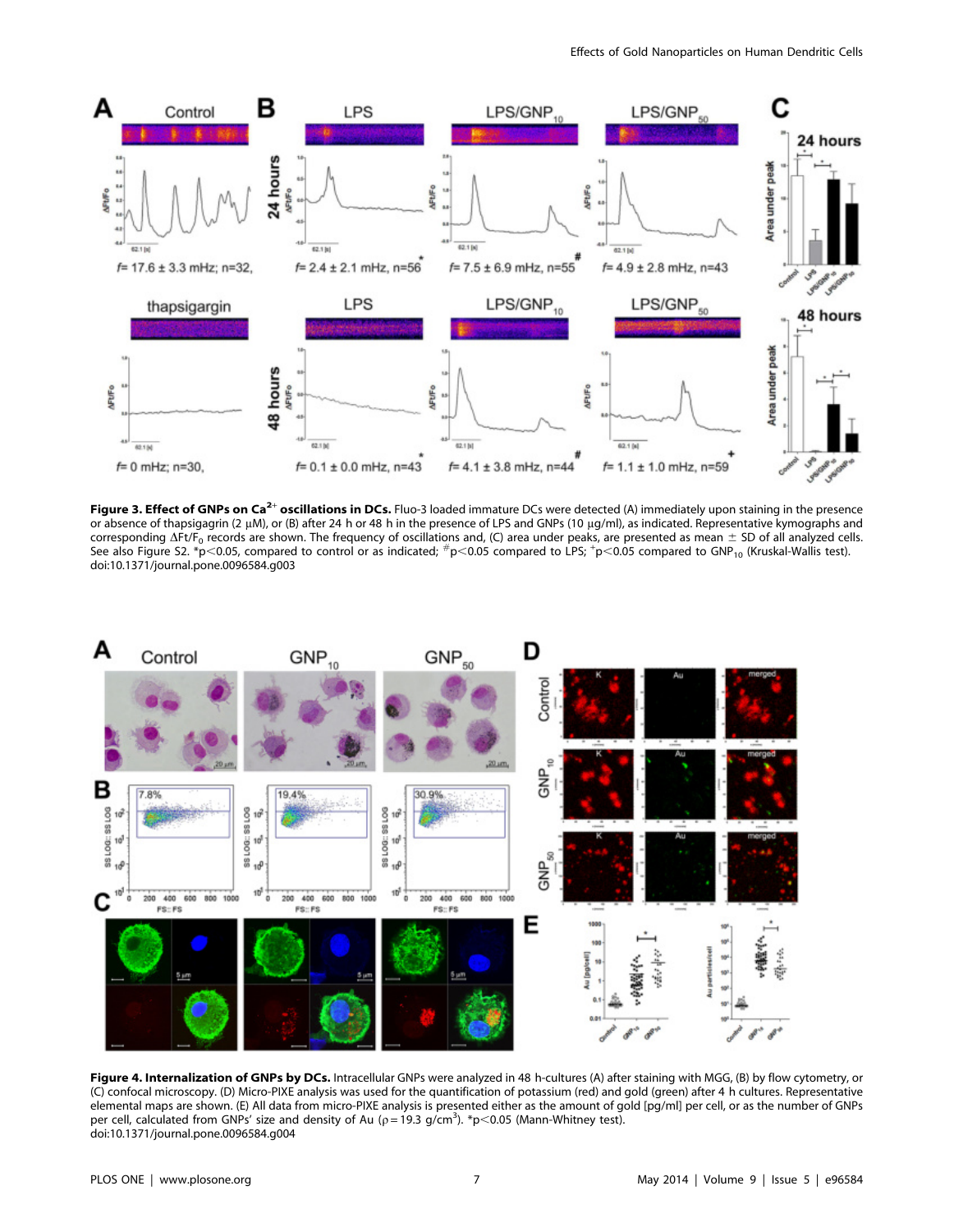

Figure 3. Effect of GNPs on Ca<sup>2+</sup> oscillations in DCs. Fluo-3 loaded immature DCs were detected (A) immediately upon staining in the presence or absence of thapsigagrin (2 µM), or (B) after 24 h or 48 h in the presence of LPS and GNPs (10 µg/ml), as indicated. Representative kymographs and corresponding  $\Delta Ft/F_0$  records are shown. The frequency of oscillations and, (C) area under peaks, are presented as mean  $\pm$  SD of all analyzed cells. See also Figure S2. \*p<0.05, compared to control or as indicated;  $\#$ p<0.05 compared to LPS;  $^+$ p<0.05 compared to GNP<sub>10</sub> (Kruskal-Wallis test). doi:10.1371/journal.pone.0096584.g003



Figure 4. Internalization of GNPs by DCs. Intracellular GNPs were analyzed in 48 h-cultures (A) after staining with MGG, (B) by flow cytometry, or (C) confocal microscopy. (D) Micro-PIXE analysis was used for the quantification of potassium (red) and gold (green) after 4 h cultures. Representative elemental maps are shown. (E) All data from micro-PIXE analysis is presented either as the amount of gold [pg/ml] per cell, or as the number of GNPs per cell, calculated from GNPs' size and density of Au ( $\rho = 19.3$  g/cm<sup>3</sup>). \*p<0.05 (Mann-Whitney test). doi:10.1371/journal.pone.0096584.g004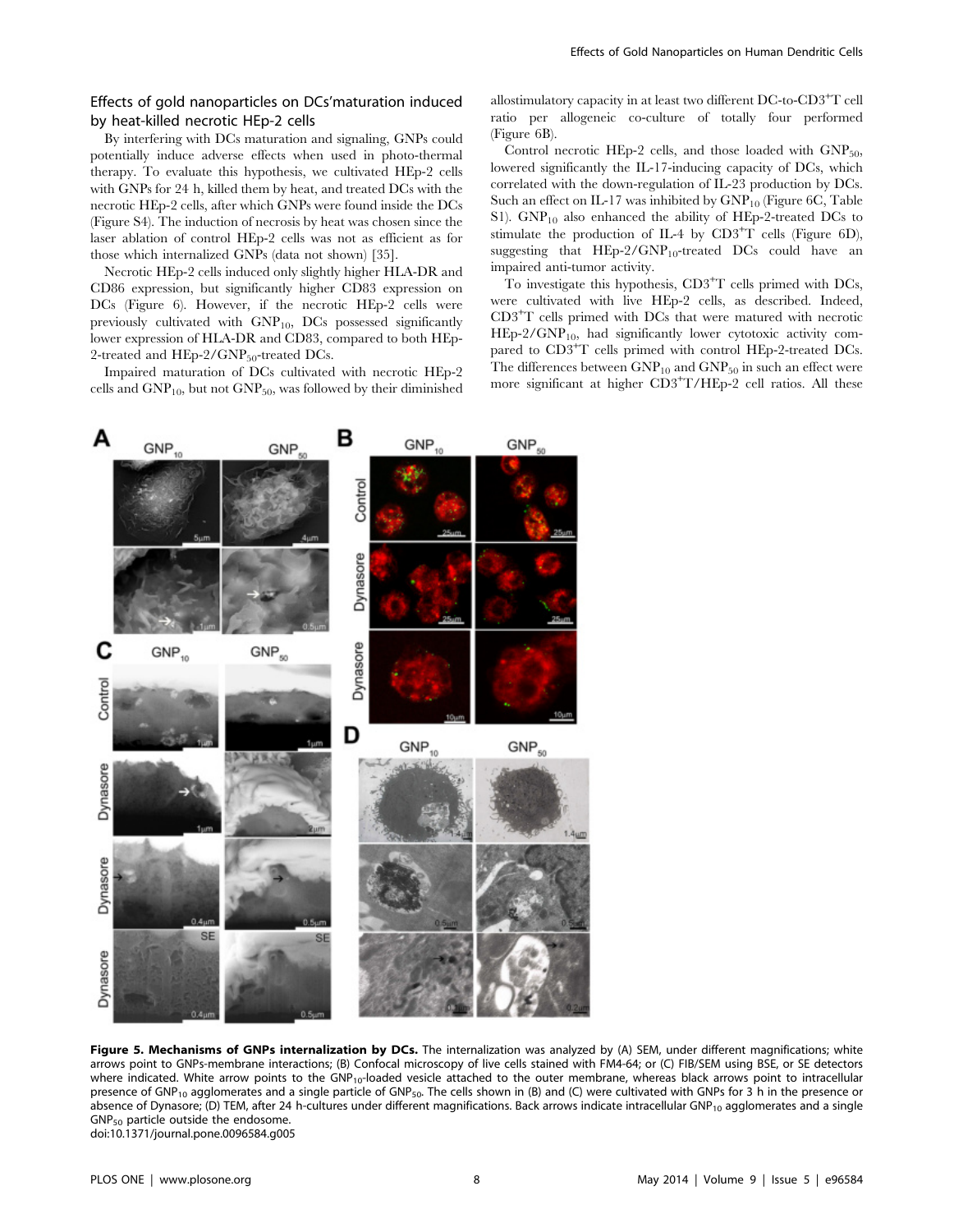# Effects of gold nanoparticles on DCs'maturation induced by heat-killed necrotic HEp-2 cells

By interfering with DCs maturation and signaling, GNPs could potentially induce adverse effects when used in photo-thermal therapy. To evaluate this hypothesis, we cultivated HEp-2 cells with GNPs for 24 h, killed them by heat, and treated DCs with the necrotic HEp-2 cells, after which GNPs were found inside the DCs (Figure S4). The induction of necrosis by heat was chosen since the laser ablation of control HEp-2 cells was not as efficient as for those which internalized GNPs (data not shown) [35].

Necrotic HEp-2 cells induced only slightly higher HLA-DR and CD86 expression, but significantly higher CD83 expression on DCs (Figure 6). However, if the necrotic HEp-2 cells were previously cultivated with GNP10, DCs possessed significantly lower expression of HLA-DR and CD83, compared to both HEp-2-treated and  $HEp-2/GNP_{50}$ -treated DCs.

Impaired maturation of DCs cultivated with necrotic HEp-2 cells and  $GNP<sub>10</sub>$ , but not  $GNP<sub>50</sub>$ , was followed by their diminished

allostimulatory capacity in at least two different DC-to-CD3+T cell ratio per allogeneic co-culture of totally four performed (Figure 6B).

Control necrotic HEp-2 cells, and those loaded with  $GNP_{50}$ , lowered significantly the IL-17-inducing capacity of DCs, which correlated with the down-regulation of IL-23 production by DCs. Such an effect on IL-17 was inhibited by  $GNP_{10}$  (Figure 6C, Table S1). GNP<sub>10</sub> also enhanced the ability of HEp-2-treated DCs to stimulate the production of IL-4 by  $CD3+T$  cells (Figure 6D), suggesting that  $HEp-2/GNP_{10}$ -treated DCs could have an impaired anti-tumor activity.

To investigate this hypothesis, CD3<sup>+</sup>T cells primed with DCs, were cultivated with live HEp-2 cells, as described. Indeed, CD3+T cells primed with DCs that were matured with necrotic  $HEp-2/GNP<sub>10</sub>$ , had significantly lower cytotoxic activity compared to CD3<sup>+</sup>T cells primed with control HEp-2-treated DCs. The differences between  $GNP_{10}$  and  $GNP_{50}$  in such an effect were more significant at higher CD3+T/HEp-2 cell ratios. All these



Figure 5. Mechanisms of GNPs internalization by DCs. The internalization was analyzed by (A) SEM, under different magnifications; white arrows point to GNPs-membrane interactions; (B) Confocal microscopy of live cells stained with FM4-64; or (C) FIB/SEM using BSE, or SE detectors where indicated. White arrow points to the  $GNP_{10}$ -loaded vesicle attached to the outer membrane, whereas black arrows point to intracellular presence of GNP<sub>10</sub> agglomerates and a single particle of GNP<sub>50</sub>. The cells shown in (B) and (C) were cultivated with GNPs for 3 h in the presence or absence of Dynasore; (D) TEM, after 24 h-cultures under different magnifications. Back arrows indicate intracellular GNP<sub>10</sub> agglomerates and a single  $GNP<sub>50</sub>$  particle outside the endosome. doi:10.1371/journal.pone.0096584.g005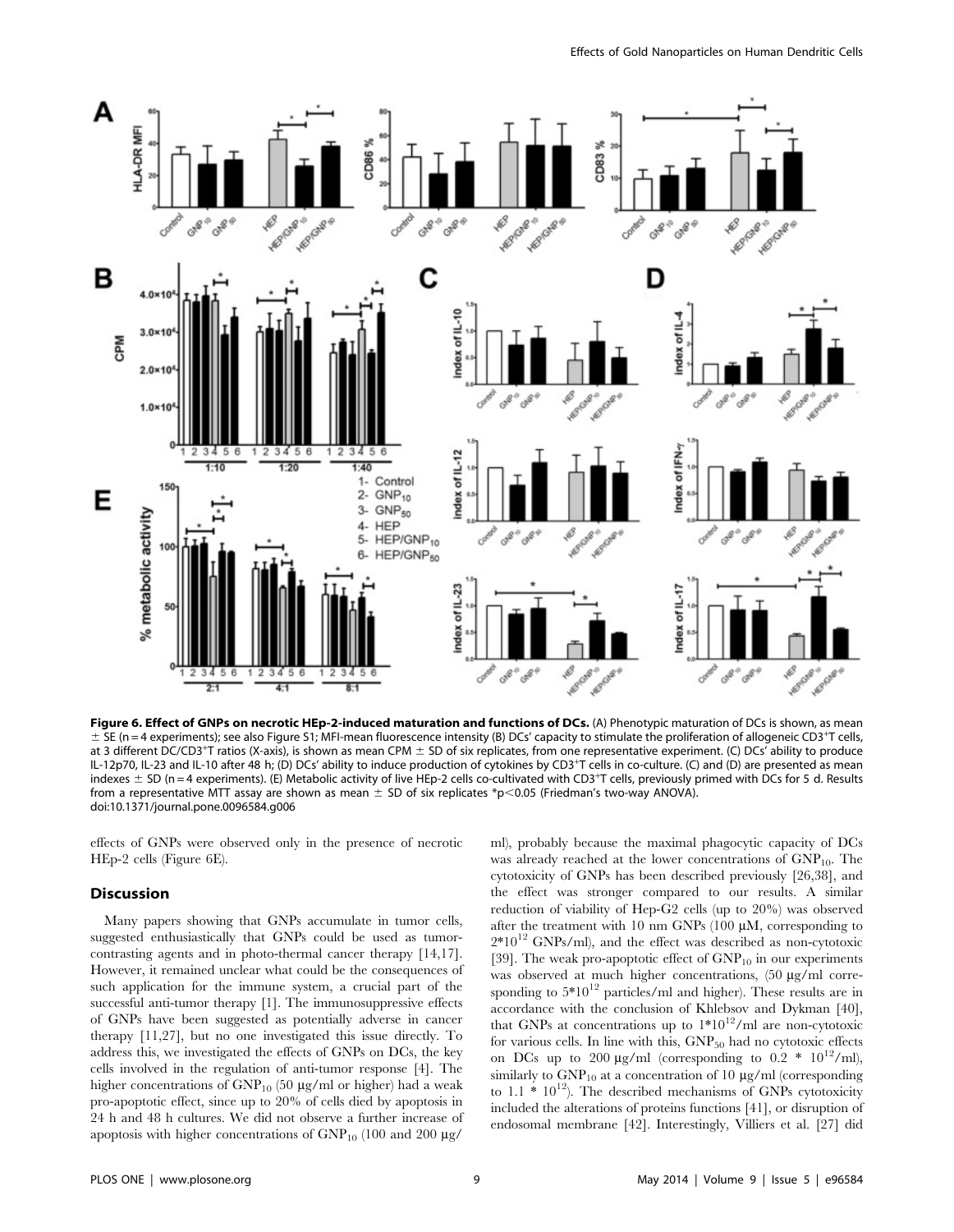

Figure 6. Effect of GNPs on necrotic HEp-2-induced maturation and functions of DCs. (A) Phenotypic maturation of DCs is shown, as mean  $\pm$  SE (n = 4 experiments); see also Figure S1; MFI-mean fluorescence intensity (B) DCs' capacity to stimulate the proliferation of allogeneic CD3<sup>+</sup>T cells, at 3 different DC/CD3<sup>+</sup>T ratios (X-axis), is shown as mean CPM  $\pm$  SD of six replicates, from one representative experiment. (C) DCs<sup>7</sup> ability to produce IL-12p70, IL-23 and IL-10 after 48 h; (D) DCs' ability to induce production of cytokines by CD3+T cells in co-culture. (C) and (D) are presented as mean indexes  $\pm$  SD (n = 4 experiments). (E) Metabolic activity of live HEp-2 cells co-cultivated with CD3+T cells, previously primed with DCs for 5 d. Results from a representative MTT assay are shown as mean  $\pm$  SD of six replicates \*p $<$ 0.05 (Friedman's two-way ANOVA). doi:10.1371/journal.pone.0096584.g006

effects of GNPs were observed only in the presence of necrotic HEp-2 cells (Figure 6E).

#### **Discussion**

Many papers showing that GNPs accumulate in tumor cells, suggested enthusiastically that GNPs could be used as tumorcontrasting agents and in photo-thermal cancer therapy [14,17]. However, it remained unclear what could be the consequences of such application for the immune system, a crucial part of the successful anti-tumor therapy [1]. The immunosuppressive effects of GNPs have been suggested as potentially adverse in cancer therapy [11,27], but no one investigated this issue directly. To address this, we investigated the effects of GNPs on DCs, the key cells involved in the regulation of anti-tumor response [4]. The higher concentrations of  $GNP_{10}$  (50 µg/ml or higher) had a weak pro-apoptotic effect, since up to 20% of cells died by apoptosis in 24 h and 48 h cultures. We did not observe a further increase of apoptosis with higher concentrations of  $GNP<sub>10</sub>$  (100 and 200  $\mu$ g/

ml), probably because the maximal phagocytic capacity of DCs was already reached at the lower concentrations of  $GNP<sub>10</sub>$ . The cytotoxicity of GNPs has been described previously [26,38], and the effect was stronger compared to our results. A similar reduction of viability of Hep-G2 cells (up to 20%) was observed after the treatment with 10 nm GNPs (100  $\mu$ M, corresponding to  $2*10^{12}$  GNPs/ml), and the effect was described as non-cytotoxic [39]. The weak pro-apoptotic effect of  $GNP_{10}$  in our experiments was observed at much higher concentrations, (50 µg/ml corresponding to  $5*10^{12}$  particles/ml and higher). These results are in accordance with the conclusion of Khlebsov and Dykman [40], that GNPs at concentrations up to  $1*10^{12}/m$ l are non-cytotoxic for various cells. In line with this,  $GNP<sub>50</sub>$  had no cytotoxic effects on DCs up to 200  $\mu$ g/ml (corresponding to 0.2 \* 10<sup>12</sup>/ml), similarly to  $GNP_{10}$  at a concentration of 10  $\mu$ g/ml (corresponding to 1.1  $*$  10<sup>12</sup>). The described mechanisms of GNPs cytotoxicity included the alterations of proteins functions [41], or disruption of endosomal membrane [42]. Interestingly, Villiers et al. [27] did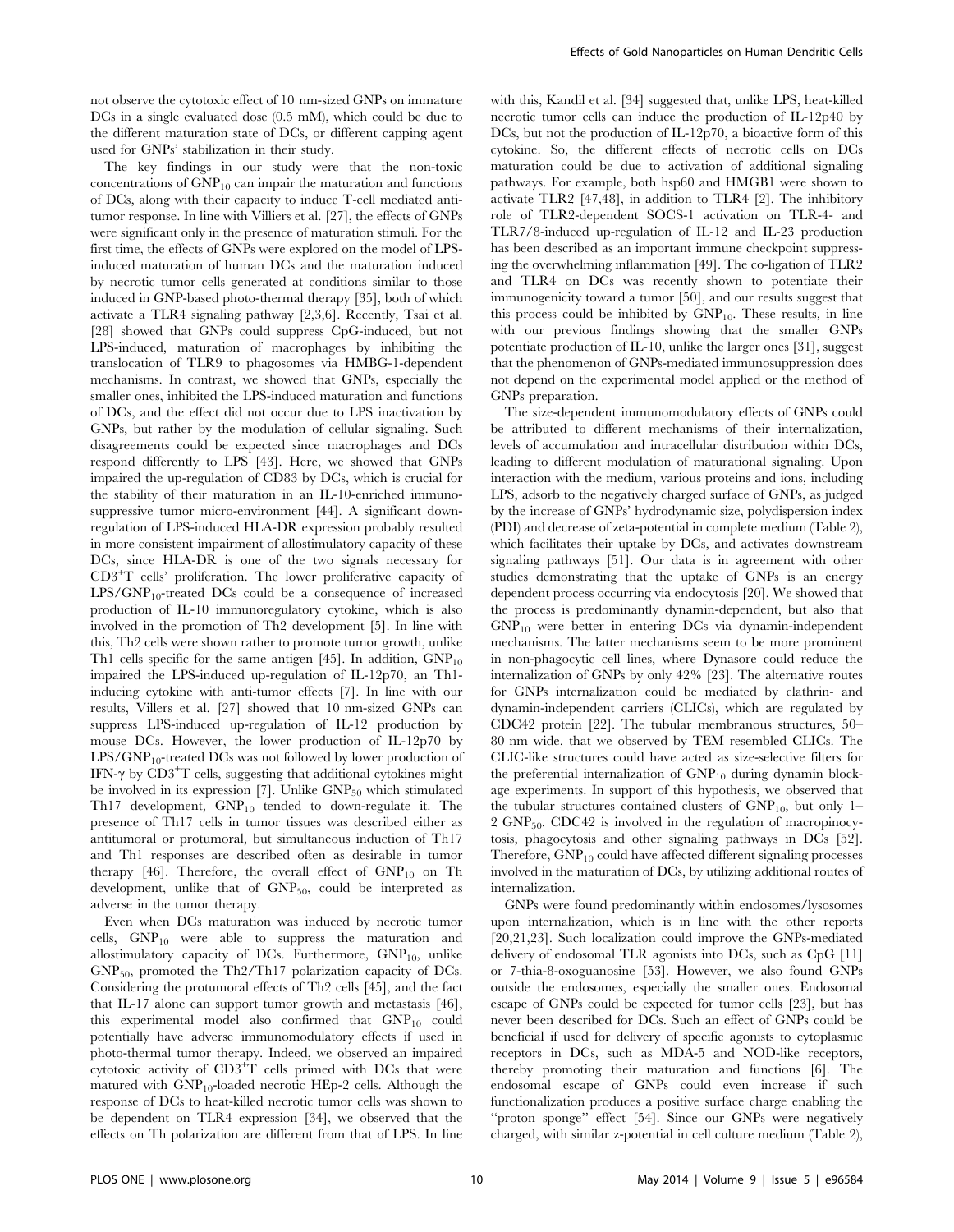not observe the cytotoxic effect of 10 nm-sized GNPs on immature DCs in a single evaluated dose  $(0.5 \text{ mM})$ , which could be due to the different maturation state of DCs, or different capping agent used for GNPs' stabilization in their study.

The key findings in our study were that the non-toxic concentrations of  $GNP_{10}$  can impair the maturation and functions of DCs, along with their capacity to induce T-cell mediated antitumor response. In line with Villiers et al. [27], the effects of GNPs were significant only in the presence of maturation stimuli. For the first time, the effects of GNPs were explored on the model of LPSinduced maturation of human DCs and the maturation induced by necrotic tumor cells generated at conditions similar to those induced in GNP-based photo-thermal therapy [35], both of which activate a TLR4 signaling pathway [2,3,6]. Recently, Tsai et al. [28] showed that GNPs could suppress CpG-induced, but not LPS-induced, maturation of macrophages by inhibiting the translocation of TLR9 to phagosomes via HMBG-1-dependent mechanisms. In contrast, we showed that GNPs, especially the smaller ones, inhibited the LPS-induced maturation and functions of DCs, and the effect did not occur due to LPS inactivation by GNPs, but rather by the modulation of cellular signaling. Such disagreements could be expected since macrophages and DCs respond differently to LPS [43]. Here, we showed that GNPs impaired the up-regulation of CD83 by DCs, which is crucial for the stability of their maturation in an IL-10-enriched immunosuppressive tumor micro-environment [44]. A significant downregulation of LPS-induced HLA-DR expression probably resulted in more consistent impairment of allostimulatory capacity of these DCs, since HLA-DR is one of the two signals necessary for CD3+T cells' proliferation. The lower proliferative capacity of  $LPS/GNP_{10}$ -treated DCs could be a consequence of increased production of IL-10 immunoregulatory cytokine, which is also involved in the promotion of Th2 development [5]. In line with this, Th2 cells were shown rather to promote tumor growth, unlike Th1 cells specific for the same antigen [45]. In addition,  $GNP_{10}$ impaired the LPS-induced up-regulation of IL-12p70, an Th1 inducing cytokine with anti-tumor effects [7]. In line with our results, Villers et al. [27] showed that 10 nm-sized GNPs can suppress LPS-induced up-regulation of IL-12 production by mouse DCs. However, the lower production of IL-12p70 by  $LPS/GNP_{10}$ -treated DCs was not followed by lower production of IFN- $\gamma$  by CD3<sup>+</sup>T cells, suggesting that additional cytokines might be involved in its expression  $[7]$ . Unlike  $GNP<sub>50</sub>$  which stimulated Th17 development, GNP<sub>10</sub> tended to down-regulate it. The presence of Th17 cells in tumor tissues was described either as antitumoral or protumoral, but simultaneous induction of Th17 and Th1 responses are described often as desirable in tumor therapy [46]. Therefore, the overall effect of  $GNP<sub>10</sub>$  on Th development, unlike that of  $GNP<sub>50</sub>$ , could be interpreted as adverse in the tumor therapy.

Even when DCs maturation was induced by necrotic tumor cells,  $GNP_{10}$  were able to suppress the maturation and allostimulatory capacity of DCs. Furthermore,  $GNP<sub>10</sub>$ , unlike  $GNP<sub>50</sub>$ , promoted the Th2/Th17 polarization capacity of DCs. Considering the protumoral effects of Th2 cells [45], and the fact that IL-17 alone can support tumor growth and metastasis [46], this experimental model also confirmed that GNP<sub>10</sub> could potentially have adverse immunomodulatory effects if used in photo-thermal tumor therapy. Indeed, we observed an impaired cytotoxic activity of CD3<sup>+</sup>T cells primed with DCs that were matured with  $GNP_{10}$ -loaded necrotic HEp-2 cells. Although the response of DCs to heat-killed necrotic tumor cells was shown to be dependent on TLR4 expression [34], we observed that the effects on Th polarization are different from that of LPS. In line

with this, Kandil et al. [34] suggested that, unlike LPS, heat-killed necrotic tumor cells can induce the production of IL-12p40 by DCs, but not the production of IL-12p70, a bioactive form of this cytokine. So, the different effects of necrotic cells on DCs maturation could be due to activation of additional signaling pathways. For example, both hsp60 and HMGB1 were shown to activate TLR2 [47,48], in addition to TLR4 [2]. The inhibitory role of TLR2-dependent SOCS-1 activation on TLR-4- and TLR7/8-induced up-regulation of IL-12 and IL-23 production has been described as an important immune checkpoint suppressing the overwhelming inflammation [49]. The co-ligation of TLR2 and TLR4 on DCs was recently shown to potentiate their immunogenicity toward a tumor [50], and our results suggest that this process could be inhibited by  $GNP<sub>10</sub>$ . These results, in line with our previous findings showing that the smaller GNPs potentiate production of IL-10, unlike the larger ones [31], suggest that the phenomenon of GNPs-mediated immunosuppression does not depend on the experimental model applied or the method of GNPs preparation.

The size-dependent immunomodulatory effects of GNPs could be attributed to different mechanisms of their internalization, levels of accumulation and intracellular distribution within DCs, leading to different modulation of maturational signaling. Upon interaction with the medium, various proteins and ions, including LPS, adsorb to the negatively charged surface of GNPs, as judged by the increase of GNPs' hydrodynamic size, polydispersion index (PDI) and decrease of zeta-potential in complete medium (Table 2), which facilitates their uptake by DCs, and activates downstream signaling pathways [51]. Our data is in agreement with other studies demonstrating that the uptake of GNPs is an energy dependent process occurring via endocytosis [20]. We showed that the process is predominantly dynamin-dependent, but also that GNP<sup>10</sup> were better in entering DCs via dynamin-independent mechanisms. The latter mechanisms seem to be more prominent in non-phagocytic cell lines, where Dynasore could reduce the internalization of GNPs by only 42% [23]. The alternative routes for GNPs internalization could be mediated by clathrin- and dynamin-independent carriers (CLICs), which are regulated by CDC42 protein [22]. The tubular membranous structures, 50– 80 nm wide, that we observed by TEM resembled CLICs. The CLIC-like structures could have acted as size-selective filters for the preferential internalization of  $GNP<sub>10</sub>$  during dynamin blockage experiments. In support of this hypothesis, we observed that the tubular structures contained clusters of  $GNP<sub>10</sub>$ , but only 1-2 GNP50. CDC42 is involved in the regulation of macropinocytosis, phagocytosis and other signaling pathways in DCs [52]. Therefore, GNP<sub>10</sub> could have affected different signaling processes involved in the maturation of DCs, by utilizing additional routes of internalization.

GNPs were found predominantly within endosomes/lysosomes upon internalization, which is in line with the other reports [20,21,23]. Such localization could improve the GNPs-mediated delivery of endosomal TLR agonists into DCs, such as CpG [11] or 7-thia-8-oxoguanosine [53]. However, we also found GNPs outside the endosomes, especially the smaller ones. Endosomal escape of GNPs could be expected for tumor cells [23], but has never been described for DCs. Such an effect of GNPs could be beneficial if used for delivery of specific agonists to cytoplasmic receptors in DCs, such as MDA-5 and NOD-like receptors, thereby promoting their maturation and functions [6]. The endosomal escape of GNPs could even increase if such functionalization produces a positive surface charge enabling the "proton sponge" effect [54]. Since our GNPs were negatively charged, with similar z-potential in cell culture medium (Table 2),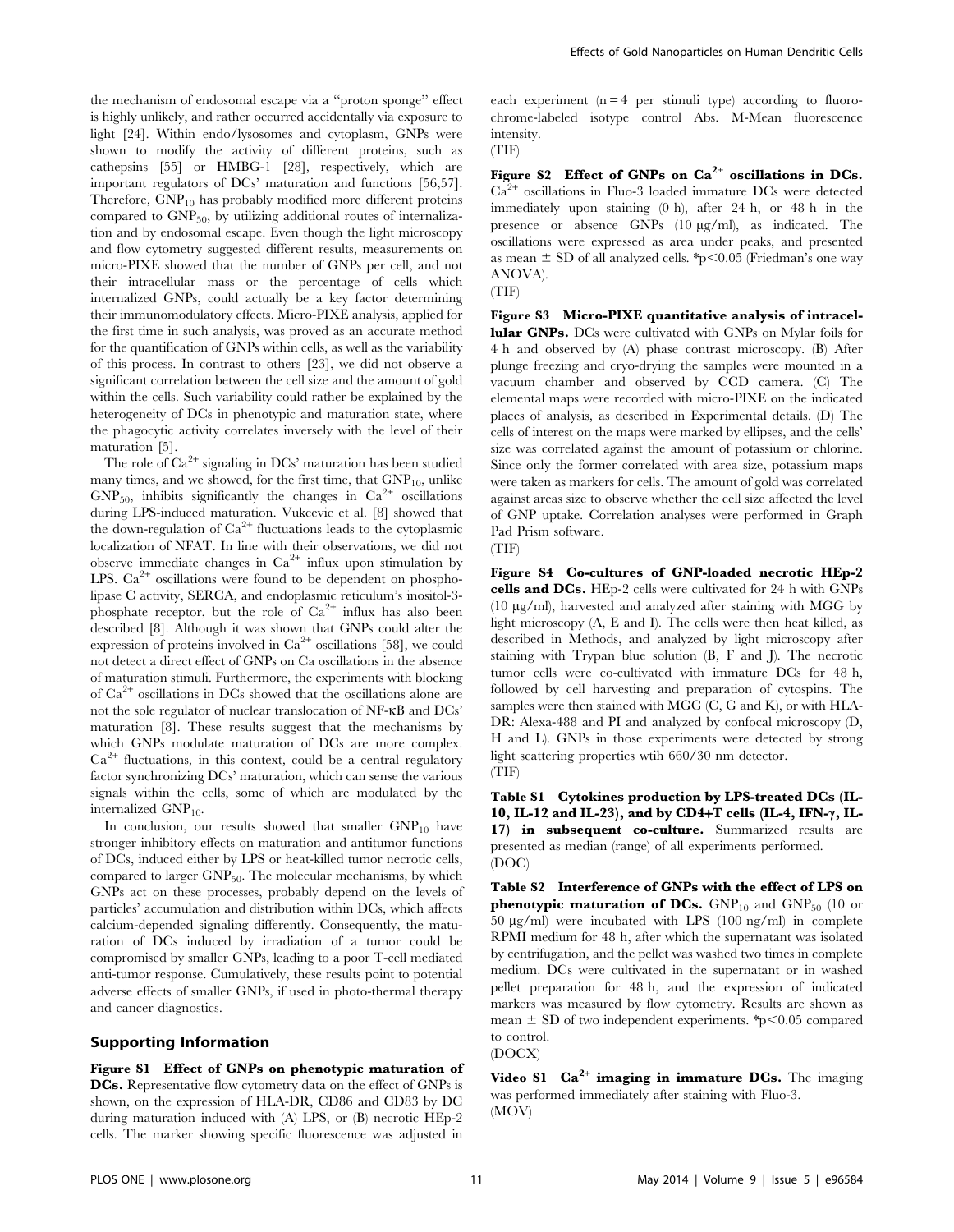the mechanism of endosomal escape via a ''proton sponge'' effect is highly unlikely, and rather occurred accidentally via exposure to light [24]. Within endo/lysosomes and cytoplasm, GNPs were shown to modify the activity of different proteins, such as cathepsins [55] or HMBG-1 [28], respectively, which are important regulators of DCs' maturation and functions [56,57]. Therefore,  $GNP_{10}$  has probably modified more different proteins compared to  $GNP<sub>50</sub>$ , by utilizing additional routes of internalization and by endosomal escape. Even though the light microscopy and flow cytometry suggested different results, measurements on micro-PIXE showed that the number of GNPs per cell, and not their intracellular mass or the percentage of cells which internalized GNPs, could actually be a key factor determining their immunomodulatory effects. Micro-PIXE analysis, applied for the first time in such analysis, was proved as an accurate method for the quantification of GNPs within cells, as well as the variability of this process. In contrast to others [23], we did not observe a significant correlation between the cell size and the amount of gold within the cells. Such variability could rather be explained by the heterogeneity of DCs in phenotypic and maturation state, where the phagocytic activity correlates inversely with the level of their maturation [5].

The role of  $Ca^{2+}$  signaling in DCs' maturation has been studied many times, and we showed, for the first time, that  $GNP<sub>10</sub>$ , unlike  $GNP_{50}$ , inhibits significantly the changes in  $Ca^{2+}$  oscillations during LPS-induced maturation. Vukcevic et al. [8] showed that the down-regulation of  $Ca^{2+}$  fluctuations leads to the cytoplasmic localization of NFAT. In line with their observations, we did not observe immediate changes in  $Ca^{2+}$  influx upon stimulation by LPS. Ca<sup>2+</sup> oscillations were found to be dependent on phospholipase C activity, SERCA, and endoplasmic reticulum's inositol-3 phosphate receptor, but the role of  $Ca^{2+}$  influx has also been described [8]. Although it was shown that GNPs could alter the expression of proteins involved in  $Ca^{2+}$  oscillations [58], we could not detect a direct effect of GNPs on Ca oscillations in the absence of maturation stimuli. Furthermore, the experiments with blocking of Ca2<sup>+</sup> oscillations in DCs showed that the oscillations alone are not the sole regulator of nuclear translocation of NF-kB and DCs' maturation [8]. These results suggest that the mechanisms by which GNPs modulate maturation of DCs are more complex.  $Ca<sup>2+</sup>$  fluctuations, in this context, could be a central regulatory factor synchronizing DCs' maturation, which can sense the various signals within the cells, some of which are modulated by the internalized  $GNP_{10}$ .

In conclusion, our results showed that smaller  $GNP_{10}$  have stronger inhibitory effects on maturation and antitumor functions of DCs, induced either by LPS or heat-killed tumor necrotic cells, compared to larger  $GNP<sub>50</sub>$ . The molecular mechanisms, by which GNPs act on these processes, probably depend on the levels of particles' accumulation and distribution within DCs, which affects calcium-depended signaling differently. Consequently, the maturation of DCs induced by irradiation of a tumor could be compromised by smaller GNPs, leading to a poor T-cell mediated anti-tumor response. Cumulatively, these results point to potential adverse effects of smaller GNPs, if used in photo-thermal therapy and cancer diagnostics.

# Supporting Information

Figure S1 Effect of GNPs on phenotypic maturation of DCs. Representative flow cytometry data on the effect of GNPs is shown, on the expression of HLA-DR, CD86 and CD83 by DC during maturation induced with (A) LPS, or (B) necrotic HEp-2 cells. The marker showing specific fluorescence was adjusted in

each experiment  $(n = 4$  per stimuli type) according to fluorochrome-labeled isotype control Abs. M-Mean fluorescence intensity.

(TIF)

Figure S2 Effect of GNPs on  $Ca^{2+}$  oscillations in DCs.  $Ca<sup>2+</sup>$  oscillations in Fluo-3 loaded immature DCs were detected immediately upon staining (0 h), after 24 h, or 48 h in the presence or absence GNPs (10 mg/ml), as indicated. The oscillations were expressed as area under peaks, and presented as mean  $\pm$  SD of all analyzed cells. \*p $\leq$ 0.05 (Friedman's one way ANOVA).

(TIF)

Figure S3 Micro-PIXE quantitative analysis of intracellular GNPs. DCs were cultivated with GNPs on Mylar foils for 4 h and observed by (A) phase contrast microscopy. (B) After plunge freezing and cryo-drying the samples were mounted in a vacuum chamber and observed by CCD camera. (C) The elemental maps were recorded with micro-PIXE on the indicated places of analysis, as described in Experimental details. (D) The cells of interest on the maps were marked by ellipses, and the cells' size was correlated against the amount of potassium or chlorine. Since only the former correlated with area size, potassium maps were taken as markers for cells. The amount of gold was correlated against areas size to observe whether the cell size affected the level of GNP uptake. Correlation analyses were performed in Graph Pad Prism software.



Figure S4 Co-cultures of GNP-loaded necrotic HEp-2 cells and DCs. HEp-2 cells were cultivated for 24 h with GNPs  $(10 \mu g/ml)$ , harvested and analyzed after staining with MGG by light microscopy (A, E and I). The cells were then heat killed, as described in Methods, and analyzed by light microscopy after staining with Trypan blue solution (B, F and J). The necrotic tumor cells were co-cultivated with immature DCs for 48 h, followed by cell harvesting and preparation of cytospins. The samples were then stained with MGG (C, G and K), or with HLA-DR: Alexa-488 and PI and analyzed by confocal microscopy (D, H and L). GNPs in those experiments were detected by strong light scattering properties wtih 660/30 nm detector. (TIF)

Table S1 Cytokines production by LPS-treated DCs (IL-10, IL-12 and IL-23), and by CD4+T cells (IL-4, IFN- $\gamma$ , IL-17) in subsequent co-culture. Summarized results are presented as median (range) of all experiments performed. (DOC)

Table S2 Interference of GNPs with the effect of LPS on **phenotypic maturation of DCs.** GNP<sub>10</sub> and GNP<sub>50</sub> (10 or 50 mg/ml) were incubated with LPS (100 ng/ml) in complete RPMI medium for 48 h, after which the supernatant was isolated by centrifugation, and the pellet was washed two times in complete medium. DCs were cultivated in the supernatant or in washed pellet preparation for 48 h, and the expression of indicated markers was measured by flow cytometry. Results are shown as mean  $\pm$  SD of two independent experiments. \*p $\leq$ 0.05 compared to control.

(DOCX)

Video S1  $\text{Ca}^{2+}$  imaging in immature DCs. The imaging was performed immediately after staining with Fluo-3. (MOV)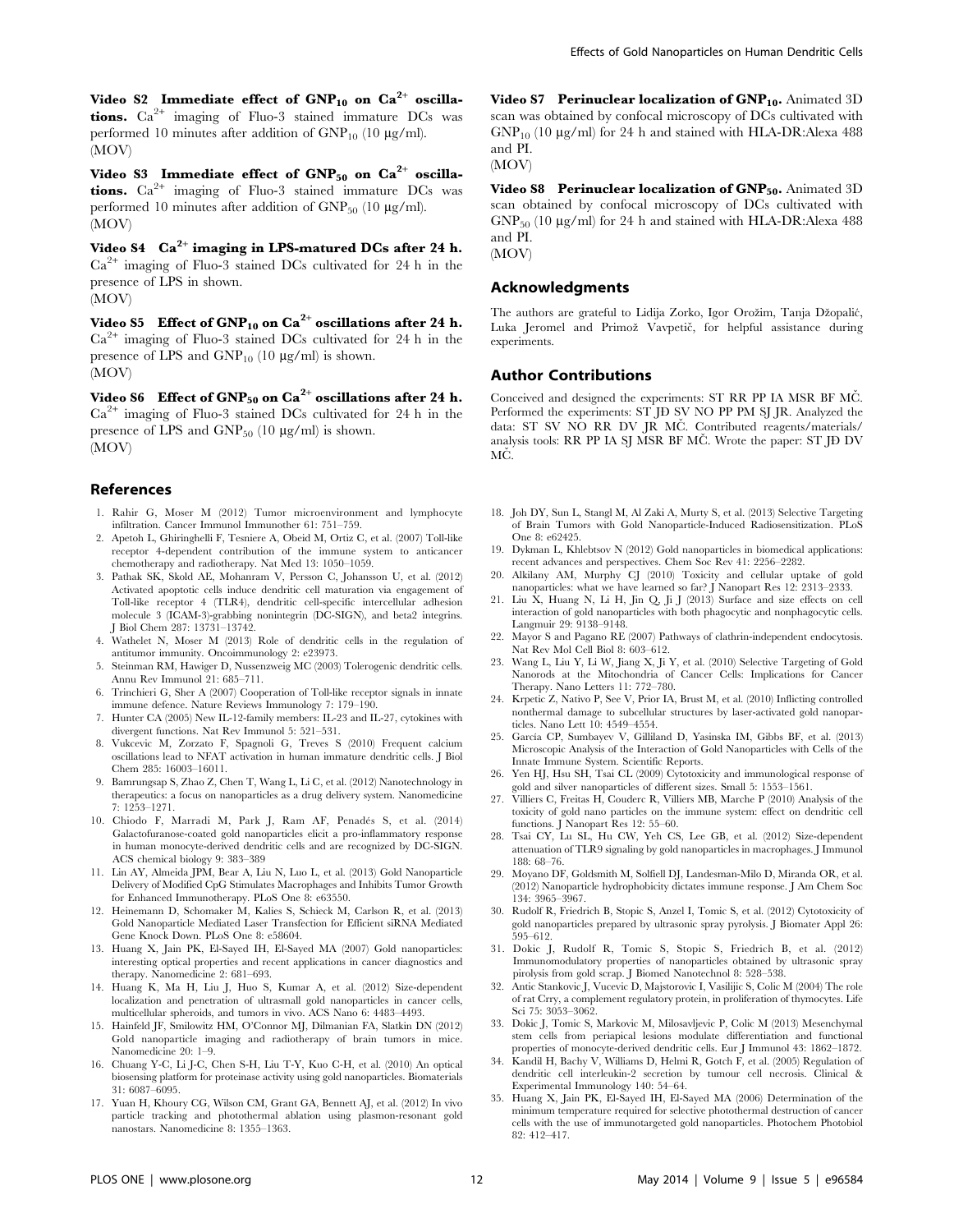Video S2  $\,$  Immediate effect of GNP $_{10}$  on Ca $^{2+}$  oscilla**tions.**  $Ca^{2+}$  imaging of Fluo-3 stained immature DCs was performed 10 minutes after addition of  $GNP<sub>10</sub>$  (10  $\mu$ g/ml). (MOV)

Video  ${\rm S3}$  -Immediate effect of  ${\rm GNP}_{50}$  on  ${\rm Ca}^{2+}$  oscillations.  $Ca^{2+}$  imaging of Fluo-3 stained immature DCs was performed 10 minutes after addition of  $GNP_{50}$  (10  $\mu$ g/ml). (MOV)

Video S $4\;\;\;{\rm Ca}^{2+}$  imaging in LPS-matured DCs after 24 h. Ca2<sup>+</sup> imaging of Fluo-3 stained DCs cultivated for 24 h in the presence of LPS in shown. (MOV)

Video S5  $\,$  Effect of GNP<sub>10</sub> on Ca<sup>2+</sup> oscillations after 24 h.  $Ca<sup>2+</sup>$  imaging of Fluo-3 stained DCs cultivated for 24 h in the presence of LPS and  $GNP_{10}$  (10  $\mu$ g/ml) is shown. (MOV)

Video  $86$   $\,$  Effect of GNP $_{50}$  on Ca $^{2+}$  oscillations after 24 h.  $Ca<sup>2+</sup>$  imaging of Fluo-3 stained DCs cultivated for 24 h in the presence of LPS and  $GNP_{50}$  (10  $\mu$ g/ml) is shown. (MOV)

#### References

- 1. Rahir G, Moser M (2012) Tumor microenvironment and lymphocyte infiltration. Cancer Immunol Immunother 61: 751–759.
- 2. Apetoh L, Ghiringhelli F, Tesniere A, Obeid M, Ortiz C, et al. (2007) Toll-like receptor 4-dependent contribution of the immune system to anticancer chemotherapy and radiotherapy. Nat Med 13: 1050–1059.
- 3. Pathak SK, Skold AE, Mohanram V, Persson C, Johansson U, et al. (2012) Activated apoptotic cells induce dendritic cell maturation via engagement of Toll-like receptor 4 (TLR4), dendritic cell-specific intercellular adhesion molecule 3 (ICAM-3)-grabbing nonintegrin (DC-SIGN), and beta2 integrins. J Biol Chem 287: 13731–13742.
- 4. Wathelet N, Moser M (2013) Role of dendritic cells in the regulation of antitumor immunity. Oncoimmunology 2: e23973.
- 5. Steinman RM, Hawiger D, Nussenzweig MC (2003) Tolerogenic dendritic cells. Annu Rev Immunol 21: 685–711.
- 6. Trinchieri G, Sher A (2007) Cooperation of Toll-like receptor signals in innate immune defence. Nature Reviews Immunology 7: 179–190.
- 7. Hunter CA (2005) New IL-12-family members: IL-23 and IL-27, cytokines with divergent functions. Nat Rev Immunol 5: 521–531.
- 8. Vukcevic M, Zorzato F, Spagnoli G, Treves S (2010) Frequent calcium oscillations lead to NFAT activation in human immature dendritic cells. J Biol Chem 285: 16003–16011.
- 9. Bamrungsap S, Zhao Z, Chen T, Wang L, Li C, et al. (2012) Nanotechnology in therapeutics: a focus on nanoparticles as a drug delivery system. Nanomedicine 7: 1253–1271.
- 10. Chiodo F, Marradi M, Park J, Ram AF, Penadés S, et al. (2014) Galactofuranose-coated gold nanoparticles elicit a pro-inflammatory response in human monocyte-derived dendritic cells and are recognized by DC-SIGN. ACS chemical biology 9: 383–389
- 11. Lin AY, Almeida JPM, Bear A, Liu N, Luo L, et al. (2013) Gold Nanoparticle Delivery of Modified CpG Stimulates Macrophages and Inhibits Tumor Growth for Enhanced Immunotherapy. PLoS One 8: e63550.
- 12. Heinemann D, Schomaker M, Kalies S, Schieck M, Carlson R, et al. (2013) Gold Nanoparticle Mediated Laser Transfection for Efficient siRNA Mediated Gene Knock Down. PLoS One 8: e58604.
- 13. Huang X, Jain PK, El-Sayed IH, El-Sayed MA (2007) Gold nanoparticles: interesting optical properties and recent applications in cancer diagnostics and therapy. Nanomedicine 2: 681–693.
- 14. Huang K, Ma H, Liu J, Huo S, Kumar A, et al. (2012) Size-dependent localization and penetration of ultrasmall gold nanoparticles in cancer cells, multicellular spheroids, and tumors in vivo. ACS Nano 6: 4483–4493.
- 15. Hainfeld JF, Smilowitz HM, O'Connor MJ, Dilmanian FA, Slatkin DN (2012) Gold nanoparticle imaging and radiotherapy of brain tumors in mice. Nanomedicine 20: 1–9.
- 16. Chuang Y-C, Li J-C, Chen S-H, Liu T-Y, Kuo C-H, et al. (2010) An optical biosensing platform for proteinase activity using gold nanoparticles. Biomaterials 31: 6087–6095.
- 17. Yuan H, Khoury CG, Wilson CM, Grant GA, Bennett AJ, et al. (2012) In vivo particle tracking and photothermal ablation using plasmon-resonant gold nanostars. Nanomedicine 8: 1355–1363.

Video S7 Perinuclear localization of GNP<sub>10</sub>. Animated 3D scan was obtained by confocal microscopy of DCs cultivated with  $GNP<sub>10</sub>$  (10 µg/ml) for 24 h and stained with HLA-DR:Alexa 488 and PI.

(MOV)

Video S8 Perinuclear localization of GNP<sub>50</sub>. Animated 3D scan obtained by confocal microscopy of DCs cultivated with  $GNP_{50}$  (10 µg/ml) for 24 h and stained with HLA-DR:Alexa 488 and PI. (MOV)

#### Acknowledgments

The authors are grateful to Lidija Zorko, Igor Orožim, Tanja Džopalić, Luka Jeromel and Primož Vavpetič, for helpful assistance during experiments.

### Author Contributions

Conceived and designed the experiments: ST RR PP IA MSR BF MČ. Performed the experiments: ST JÐ SV NO PP PM SJ JR. Analyzed the data: ST SV NO RR DV JR MČ. Contributed reagents/materials/ analysis tools: RR PP IA SJ MSR BF MČ. Wrote the paper: ST JD DV MČ.

- 18. Joh DY, Sun L, Stangl M, Al Zaki A, Murty S, et al. (2013) Selective Targeting of Brain Tumors with Gold Nanoparticle-Induced Radiosensitization. PLoS One 8: e62425.
- 19. Dykman L, Khlebtsov N (2012) Gold nanoparticles in biomedical applications: recent advances and perspectives. Chem Soc Rev 41: 2256–2282.
- 20. Alkilany AM, Murphy CJ (2010) Toxicity and cellular uptake of gold nanoparticles: what we have learned so far? J Nanopart Res 12: 2313–2333.
- 21. Liu X, Huang N, Li H, Jin Q, Ji J (2013) Surface and size effects on cell interaction of gold nanoparticles with both phagocytic and nonphagocytic cells. Langmuir 29: 9138–9148.
- 22. Mayor S and Pagano RE (2007) Pathways of clathrin-independent endocytosis. Nat Rev Mol Cell Biol 8: 603–612.
- 23. Wang L, Liu Y, Li W, Jiang X, Ji Y, et al. (2010) Selective Targeting of Gold Nanorods at the Mitochondria of Cancer Cells: Implications for Cancer Therapy. Nano Letters 11: 772–780.
- 24. Krpetic Z, Nativo P, See V, Prior IA, Brust M, et al. (2010) Inflicting controlled nonthermal damage to subcellular structures by laser-activated gold nanoparticles. Nano Lett 10: 4549–4554.
- 25. García CP, Sumbayev V, Gilliland D, Yasinska IM, Gibbs BF, et al. (2013) Microscopic Analysis of the Interaction of Gold Nanoparticles with Cells of the Innate Immune System. Scientific Reports.
- 26. Yen HJ, Hsu SH, Tsai CL (2009) Cytotoxicity and immunological response of old and silver nanoparticles of different sizes. Small 5: 1553-1561.
- 27. Villiers C, Freitas H, Couderc R, Villiers MB, Marche P (2010) Analysis of the toxicity of gold nano particles on the immune system: effect on dendritic cell functions. J Nanopart Res 12: 55–60.
- 28. Tsai CY, Lu SL, Hu CW, Yeh CS, Lee GB, et al. (2012) Size-dependent attenuation of TLR9 signaling by gold nanoparticles in macrophages. J Immunol 188: 68–76.
- 29. Moyano DF, Goldsmith M, Solfiell DJ, Landesman-Milo D, Miranda OR, et al. (2012) Nanoparticle hydrophobicity dictates immune response. J Am Chem Soc 134: 3965–3967.
- 30. Rudolf R, Friedrich B, Stopic S, Anzel I, Tomic S, et al. (2012) Cytotoxicity of gold nanoparticles prepared by ultrasonic spray pyrolysis. J Biomater Appl 26: 595–612.
- 31. Dokic J, Rudolf R, Tomic S, Stopic S, Friedrich B, et al. (2012) Immunomodulatory properties of nanoparticles obtained by ultrasonic spray pirolysis from gold scrap. J Biomed Nanotechnol 8: 528–538.
- 32. Antic Stankovic J, Vucevic D, Majstorovic I, Vasilijic S, Colic M (2004) The role of rat Crry, a complement regulatory protein, in proliferation of thymocytes. Life Sci 75: 3053–3062.
- 33. Dokic J, Tomic S, Markovic M, Milosavljevic P, Colic M (2013) Mesenchymal stem cells from periapical lesions modulate differentiation and functional properties of monocyte-derived dendritic cells. Eur J Immunol 43: 1862–1872.
- 34. Kandil H, Bachy V, Williams D, Helmi R, Gotch F, et al. (2005) Regulation of dendritic cell interleukin-2 secretion by tumour cell necrosis. Clinical & Experimental Immunology 140: 54–64.
- 35. Huang X, Jain PK, El-Sayed IH, El-Sayed MA (2006) Determination of the minimum temperature required for selective photothermal destruction of cancer cells with the use of immunotargeted gold nanoparticles. Photochem Photobiol 82: 412–417.